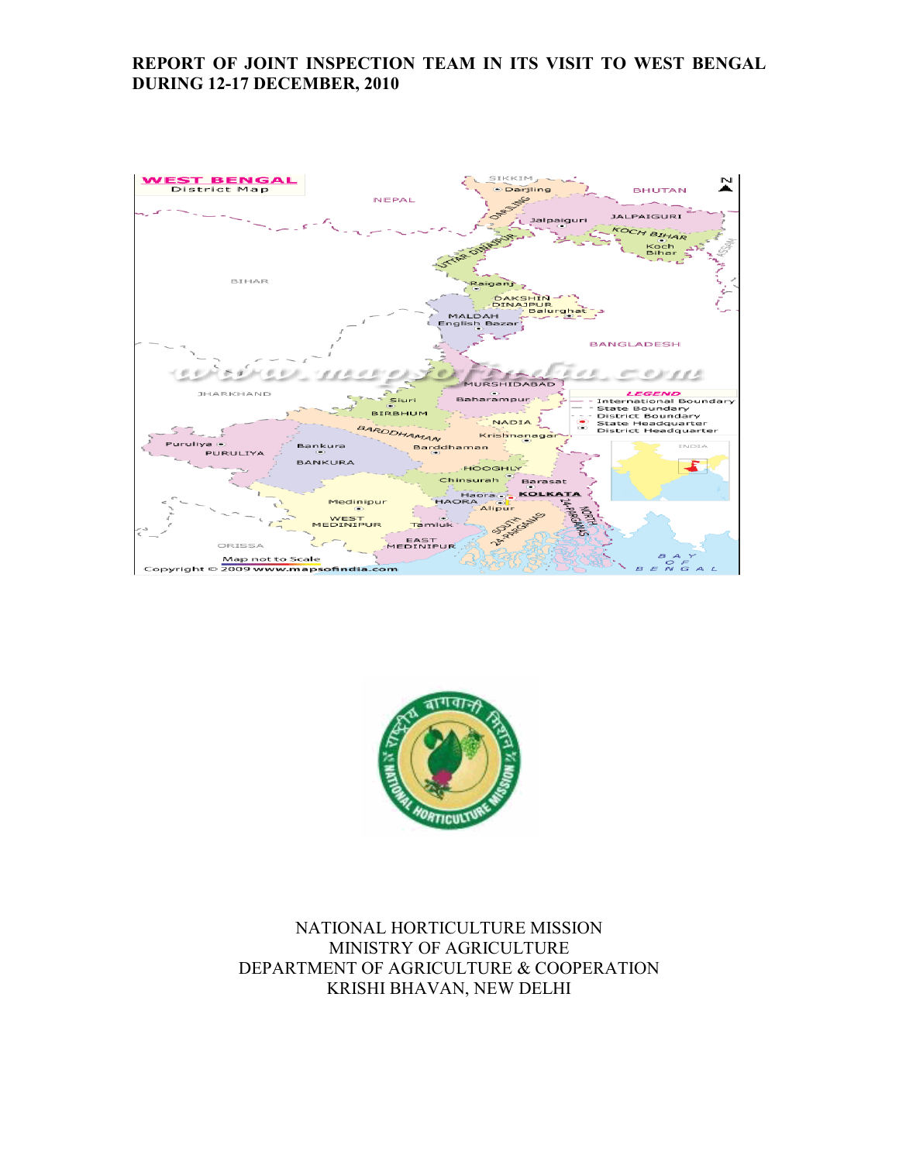#### REPORT OF JOINT INSPECTION TEAM IN ITS VISIT TO WEST BENGAL DURING 12-17 DECEMBER, 2010





NATIONAL HORTICULTURE MISSION MINISTRY OF AGRICULTURE DEPARTMENT OF AGRICULTURE & COOPERATION KRISHI BHAVAN, NEW DELHI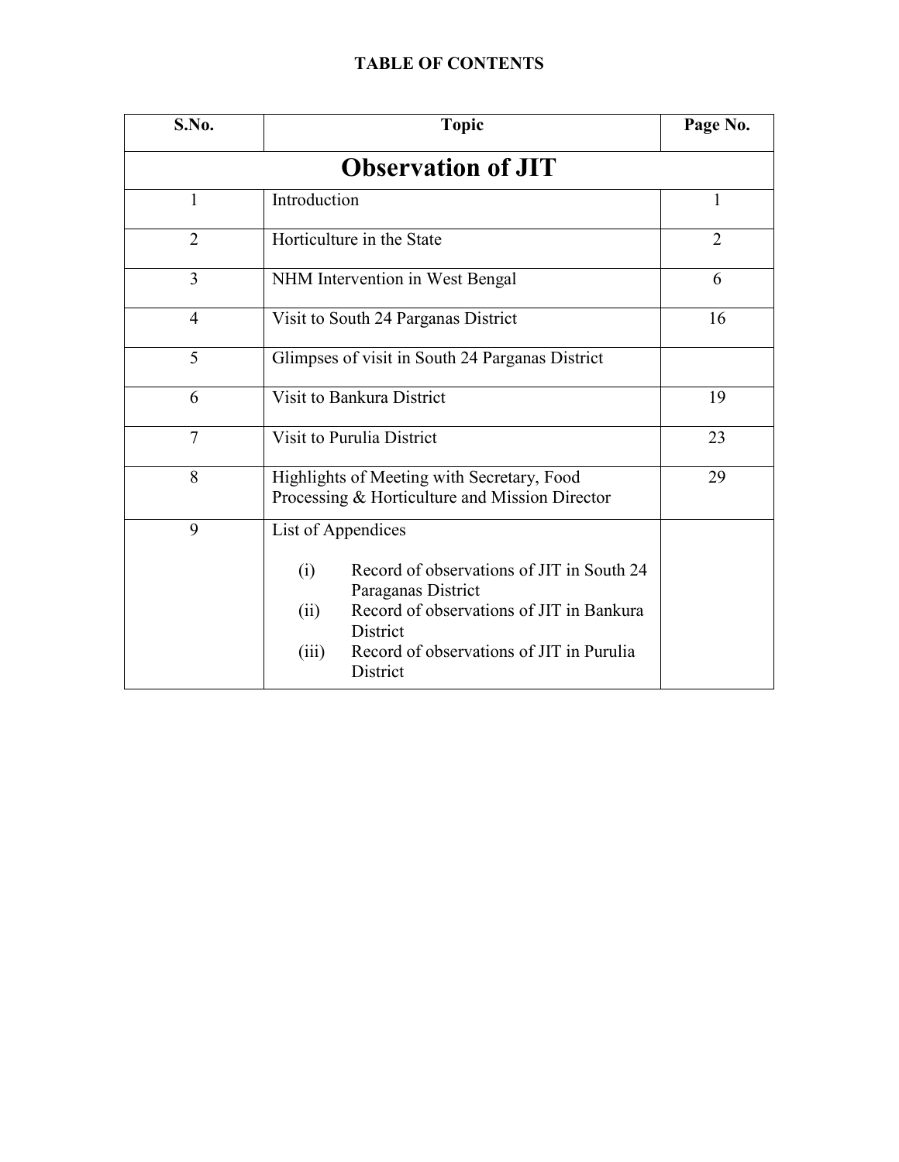#### TABLE OF CONTENTS

| S.No.          | <b>Topic</b>                                                                                                                                                                                                                         | Page No.       |
|----------------|--------------------------------------------------------------------------------------------------------------------------------------------------------------------------------------------------------------------------------------|----------------|
|                | <b>Observation of JIT</b>                                                                                                                                                                                                            |                |
| 1              | Introduction                                                                                                                                                                                                                         | 1              |
| $\overline{2}$ | Horticulture in the State                                                                                                                                                                                                            | $\overline{2}$ |
| 3              | NHM Intervention in West Bengal                                                                                                                                                                                                      | 6              |
| $\overline{4}$ | Visit to South 24 Parganas District                                                                                                                                                                                                  | 16             |
| 5              | Glimpses of visit in South 24 Parganas District                                                                                                                                                                                      |                |
| 6              | Visit to Bankura District                                                                                                                                                                                                            | 19             |
| $\overline{7}$ | Visit to Purulia District                                                                                                                                                                                                            | 23             |
| 8              | Highlights of Meeting with Secretary, Food<br>Processing & Horticulture and Mission Director                                                                                                                                         | 29             |
| 9              | List of Appendices<br>Record of observations of JIT in South 24<br>(i)<br>Paraganas District<br>Record of observations of JIT in Bankura<br>(ii)<br>District<br>Record of observations of JIT in Purulia<br>(iii)<br><b>District</b> |                |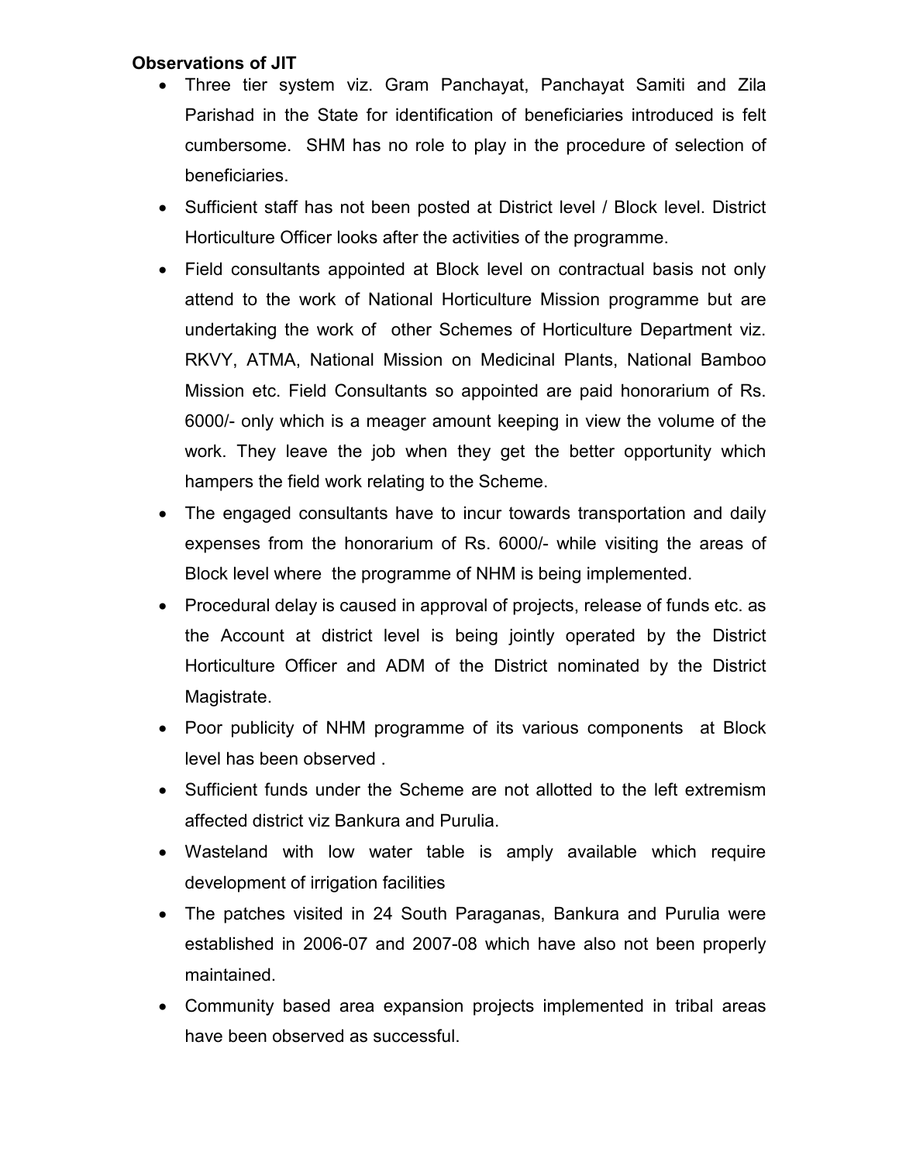#### Observations of JIT

- Three tier system viz. Gram Panchayat, Panchayat Samiti and Zila Parishad in the State for identification of beneficiaries introduced is felt cumbersome. SHM has no role to play in the procedure of selection of beneficiaries.
- Sufficient staff has not been posted at District level / Block level. District Horticulture Officer looks after the activities of the programme.
- Field consultants appointed at Block level on contractual basis not only attend to the work of National Horticulture Mission programme but are undertaking the work of other Schemes of Horticulture Department viz. RKVY, ATMA, National Mission on Medicinal Plants, National Bamboo Mission etc. Field Consultants so appointed are paid honorarium of Rs. 6000/- only which is a meager amount keeping in view the volume of the work. They leave the job when they get the better opportunity which hampers the field work relating to the Scheme.
- The engaged consultants have to incur towards transportation and daily expenses from the honorarium of Rs. 6000/- while visiting the areas of Block level where the programme of NHM is being implemented.
- Procedural delay is caused in approval of projects, release of funds etc. as the Account at district level is being jointly operated by the District Horticulture Officer and ADM of the District nominated by the District Magistrate.
- Poor publicity of NHM programme of its various components at Block level has been observed .
- Sufficient funds under the Scheme are not allotted to the left extremism affected district viz Bankura and Purulia.
- Wasteland with low water table is amply available which require development of irrigation facilities
- The patches visited in 24 South Paraganas, Bankura and Purulia were established in 2006-07 and 2007-08 which have also not been properly maintained.
- Community based area expansion projects implemented in tribal areas have been observed as successful.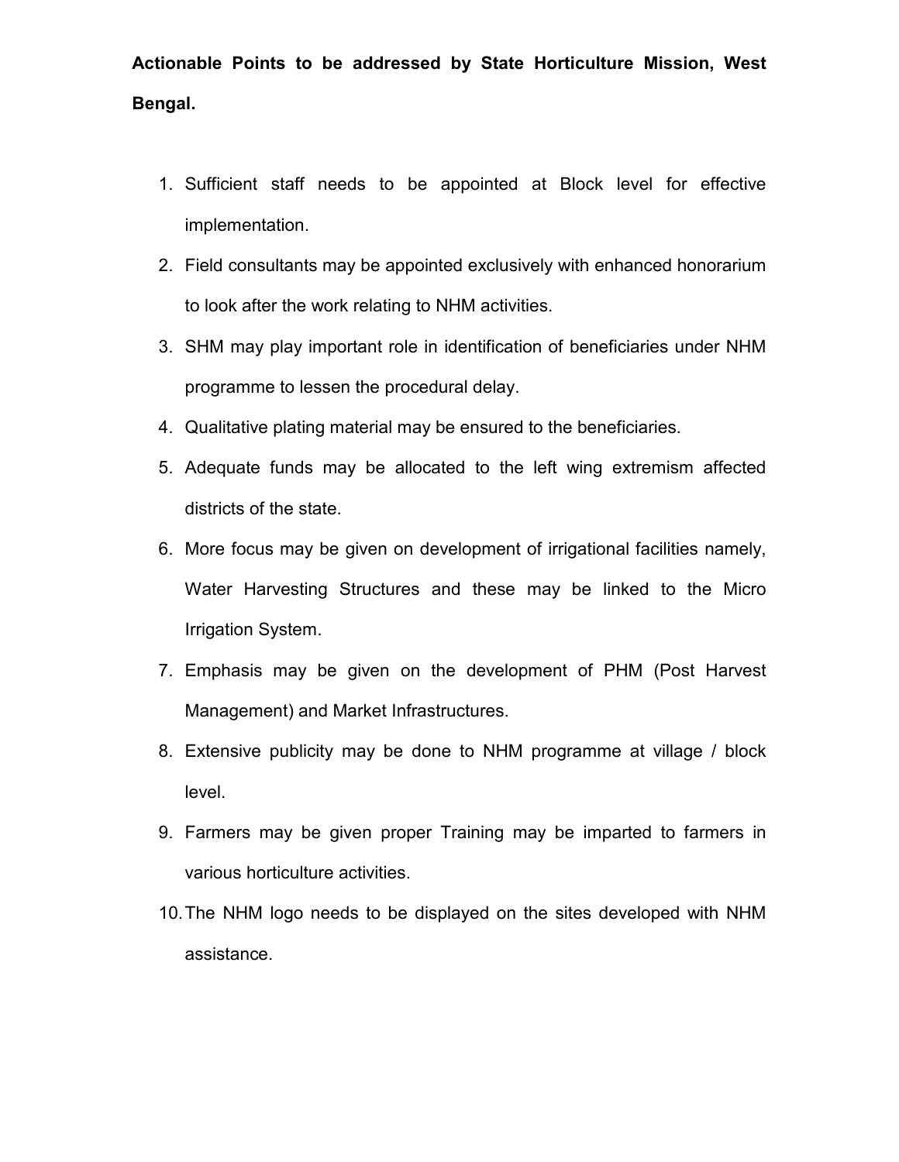Actionable Points to be addressed by State Horticulture Mission, West Bengal.

- 1. Sufficient staff needs to be appointed at Block level for effective implementation.
- 2. Field consultants may be appointed exclusively with enhanced honorarium to look after the work relating to NHM activities.
- 3. SHM may play important role in identification of beneficiaries under NHM programme to lessen the procedural delay.
- 4. Qualitative plating material may be ensured to the beneficiaries.
- 5. Adequate funds may be allocated to the left wing extremism affected districts of the state.
- 6. More focus may be given on development of irrigational facilities namely, Water Harvesting Structures and these may be linked to the Micro Irrigation System.
- 7. Emphasis may be given on the development of PHM (Post Harvest Management) and Market Infrastructures.
- 8. Extensive publicity may be done to NHM programme at village / block level.
- 9. Farmers may be given proper Training may be imparted to farmers in various horticulture activities.
- 10. The NHM logo needs to be displayed on the sites developed with NHM assistance.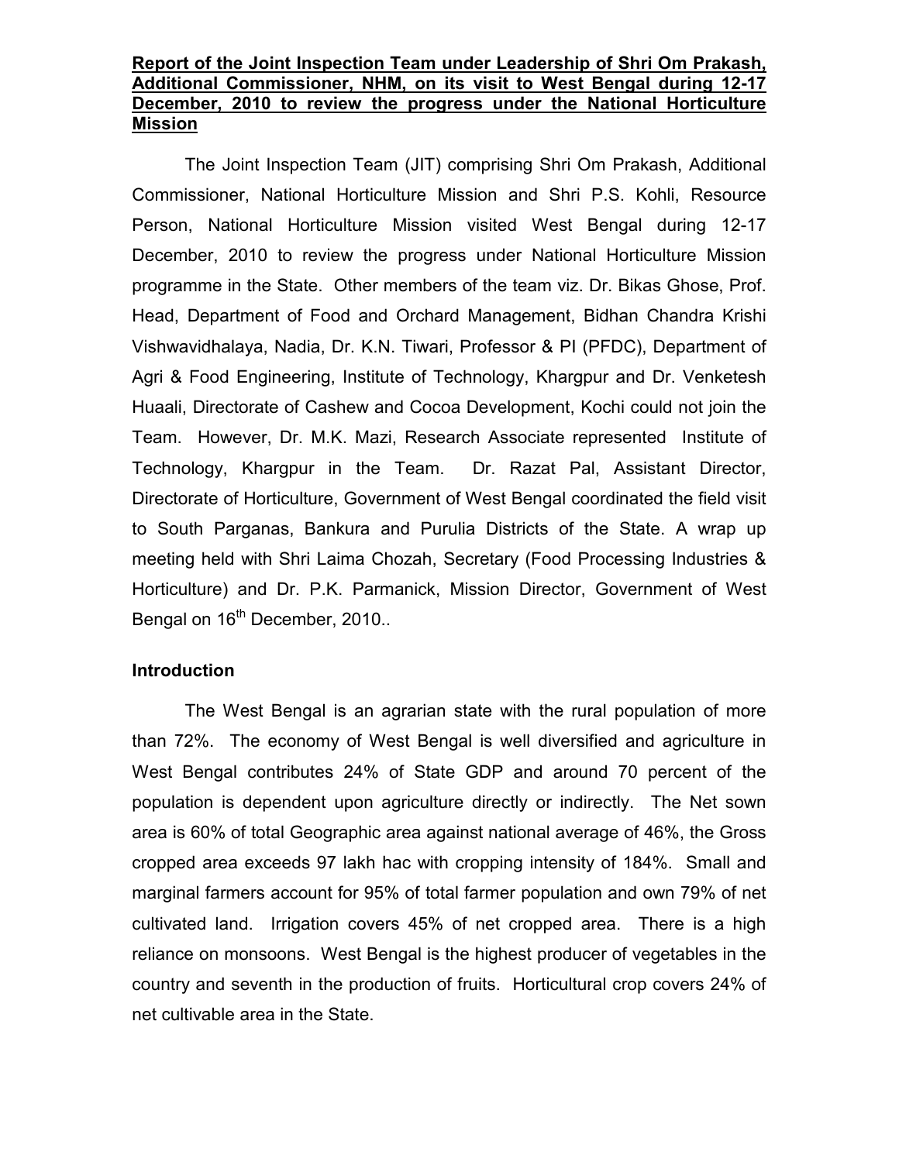#### Report of the Joint Inspection Team under Leadership of Shri Om Prakash, Additional Commissioner, NHM, on its visit to West Bengal during 12-17 December, 2010 to review the progress under the National Horticulture Mission

 The Joint Inspection Team (JIT) comprising Shri Om Prakash, Additional Commissioner, National Horticulture Mission and Shri P.S. Kohli, Resource Person, National Horticulture Mission visited West Bengal during 12-17 December, 2010 to review the progress under National Horticulture Mission programme in the State. Other members of the team viz. Dr. Bikas Ghose, Prof. Head, Department of Food and Orchard Management, Bidhan Chandra Krishi Vishwavidhalaya, Nadia, Dr. K.N. Tiwari, Professor & PI (PFDC), Department of Agri & Food Engineering, Institute of Technology, Khargpur and Dr. Venketesh Huaali, Directorate of Cashew and Cocoa Development, Kochi could not join the Team. However, Dr. M.K. Mazi, Research Associate represented Institute of Technology, Khargpur in the Team. Dr. Razat Pal, Assistant Director, Directorate of Horticulture, Government of West Bengal coordinated the field visit to South Parganas, Bankura and Purulia Districts of the State. A wrap up meeting held with Shri Laima Chozah, Secretary (Food Processing Industries & Horticulture) and Dr. P.K. Parmanick, Mission Director, Government of West Bengal on 16<sup>th</sup> December, 2010..

#### Introduction

 The West Bengal is an agrarian state with the rural population of more than 72%. The economy of West Bengal is well diversified and agriculture in West Bengal contributes 24% of State GDP and around 70 percent of the population is dependent upon agriculture directly or indirectly. The Net sown area is 60% of total Geographic area against national average of 46%, the Gross cropped area exceeds 97 lakh hac with cropping intensity of 184%. Small and marginal farmers account for 95% of total farmer population and own 79% of net cultivated land. Irrigation covers 45% of net cropped area. There is a high reliance on monsoons. West Bengal is the highest producer of vegetables in the country and seventh in the production of fruits. Horticultural crop covers 24% of net cultivable area in the State.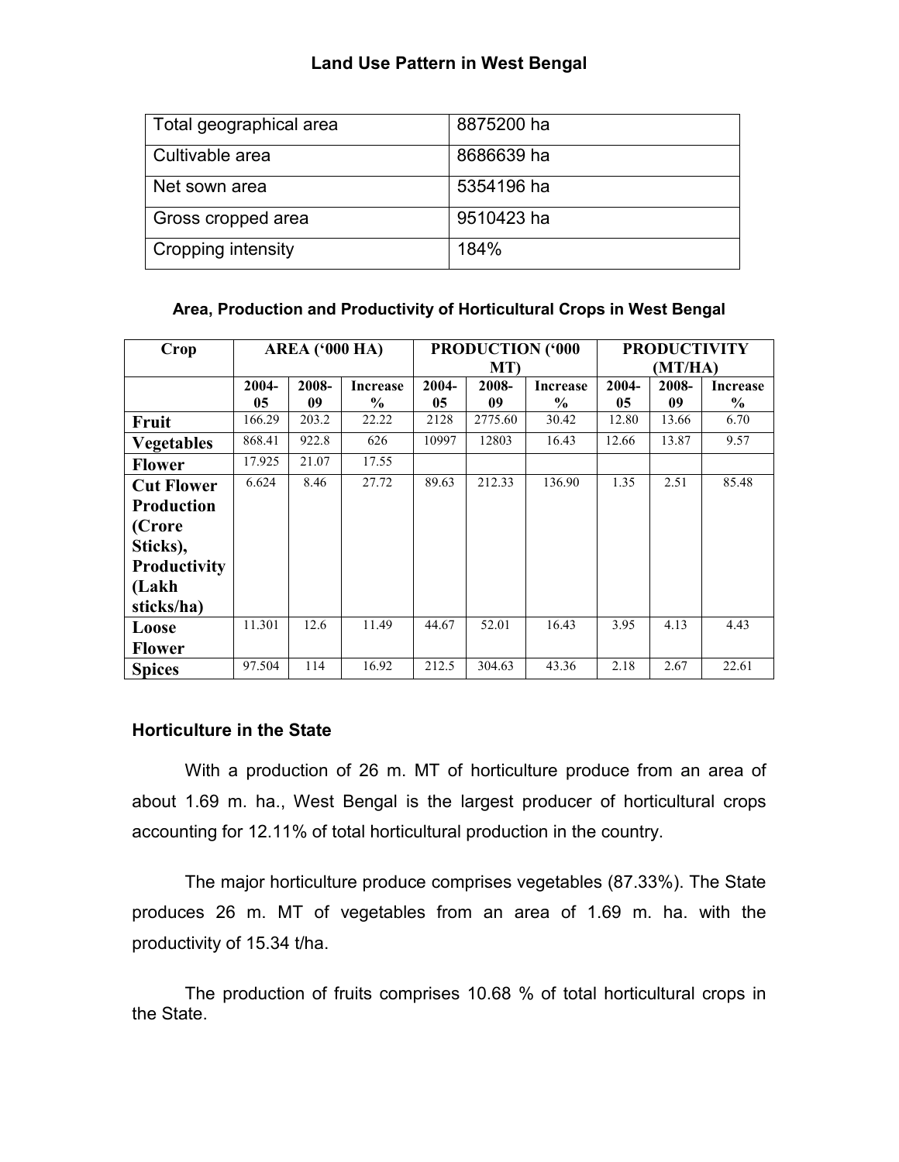#### Land Use Pattern in West Bengal

| Total geographical area | 8875200 ha |
|-------------------------|------------|
| Cultivable area         | 8686639 ha |
| Net sown area           | 5354196 ha |
| Gross cropped area      | 9510423 ha |
| Cropping intensity      | 184%       |

#### Area, Production and Productivity of Horticultural Crops in West Bengal

| Crop              |        | <b>AREA</b> ('000 HA) |                 |       | <b>PRODUCTION ('000</b> |                 | <b>PRODUCTIVITY</b> |         |               |  |
|-------------------|--------|-----------------------|-----------------|-------|-------------------------|-----------------|---------------------|---------|---------------|--|
|                   |        |                       |                 |       | MT)                     |                 |                     | (MT/HA) |               |  |
|                   | 2004-  | 2008-                 | <b>Increase</b> | 2004- | 2008-                   | <b>Increase</b> | 2004-               | 2008-   | Increase      |  |
|                   | 05     | 09                    | $\frac{0}{0}$   | 05    | 09                      | $\frac{0}{0}$   | 05                  | 09      | $\frac{6}{9}$ |  |
| Fruit             | 166.29 | 203.2                 | 22.22           | 2128  | 2775.60                 | 30.42           | 12.80               | 13.66   | 6.70          |  |
| <b>Vegetables</b> | 868.41 | 922.8                 | 626             | 10997 | 12803                   | 16.43           | 12.66               | 13.87   | 9.57          |  |
| <b>Flower</b>     | 17.925 | 21.07                 | 17.55           |       |                         |                 |                     |         |               |  |
| <b>Cut Flower</b> | 6.624  | 8.46                  | 27.72           | 89.63 | 212.33                  | 136.90          | 1.35                | 2.51    | 85.48         |  |
| <b>Production</b> |        |                       |                 |       |                         |                 |                     |         |               |  |
| (Crore            |        |                       |                 |       |                         |                 |                     |         |               |  |
| Sticks),          |        |                       |                 |       |                         |                 |                     |         |               |  |
| Productivity      |        |                       |                 |       |                         |                 |                     |         |               |  |
| (Lakh             |        |                       |                 |       |                         |                 |                     |         |               |  |
| sticks/ha)        |        |                       |                 |       |                         |                 |                     |         |               |  |
| Loose             | 11.301 | 12.6                  | 11.49           | 44.67 | 52.01                   | 16.43           | 3.95                | 4.13    | 4.43          |  |
| <b>Flower</b>     |        |                       |                 |       |                         |                 |                     |         |               |  |
| <b>Spices</b>     | 97.504 | 114                   | 16.92           | 212.5 | 304.63                  | 43.36           | 2.18                | 2.67    | 22.61         |  |

#### Horticulture in the State

With a production of 26 m. MT of horticulture produce from an area of about 1.69 m. ha., West Bengal is the largest producer of horticultural crops accounting for 12.11% of total horticultural production in the country.

 The major horticulture produce comprises vegetables (87.33%). The State produces 26 m. MT of vegetables from an area of 1.69 m. ha. with the productivity of 15.34 t/ha.

 The production of fruits comprises 10.68 % of total horticultural crops in the State.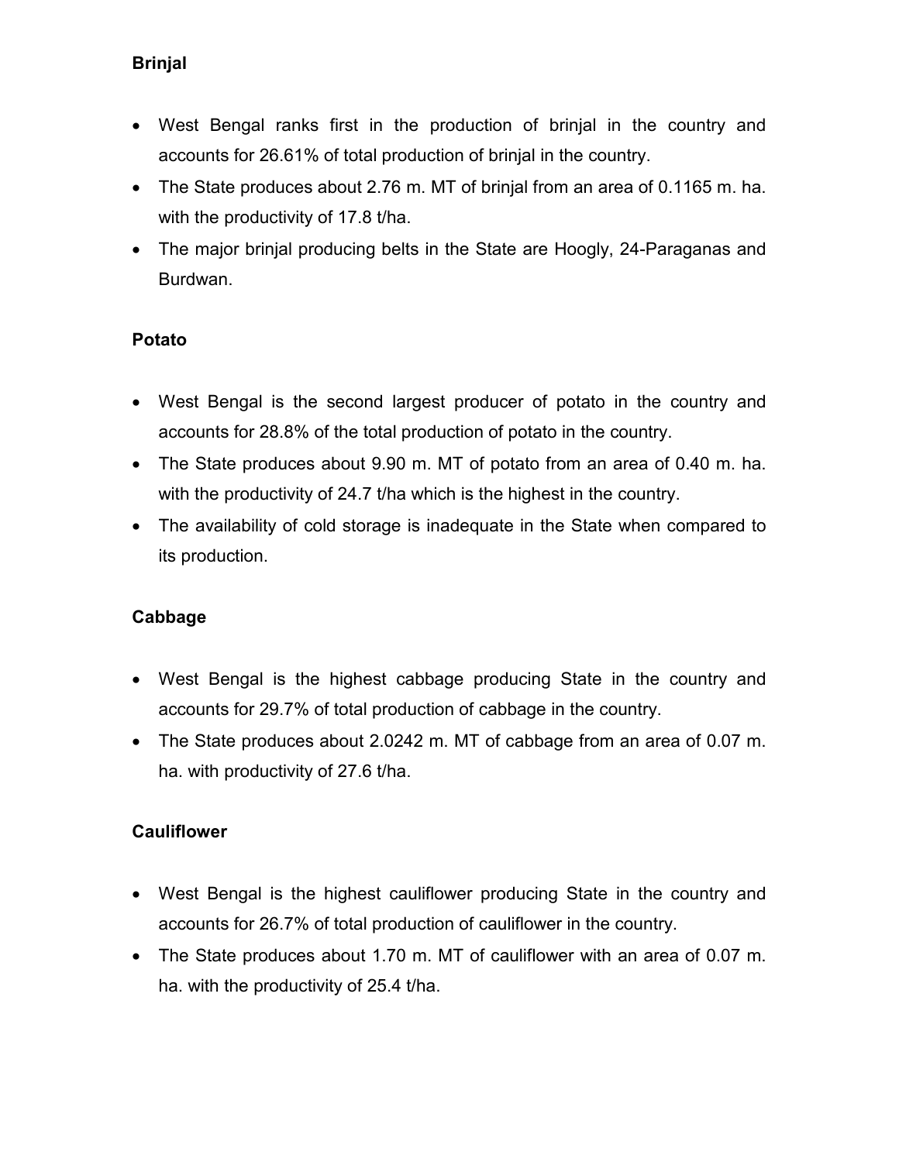## Brinjal

- West Bengal ranks first in the production of brinjal in the country and accounts for 26.61% of total production of brinjal in the country.
- The State produces about 2.76 m. MT of brinjal from an area of 0.1165 m. ha. with the productivity of 17.8 t/ha.
- The major brinjal producing belts in the State are Hoogly, 24-Paraganas and Burdwan.

### Potato

- West Bengal is the second largest producer of potato in the country and accounts for 28.8% of the total production of potato in the country.
- The State produces about 9.90 m. MT of potato from an area of 0.40 m. ha. with the productivity of 24.7 t/ha which is the highest in the country.
- The availability of cold storage is inadequate in the State when compared to its production.

#### Cabbage

- West Bengal is the highest cabbage producing State in the country and accounts for 29.7% of total production of cabbage in the country.
- The State produces about 2.0242 m. MT of cabbage from an area of 0.07 m. ha. with productivity of 27.6 t/ha.

#### **Cauliflower**

- West Bengal is the highest cauliflower producing State in the country and accounts for 26.7% of total production of cauliflower in the country.
- The State produces about 1.70 m. MT of cauliflower with an area of 0.07 m. ha. with the productivity of 25.4 t/ha.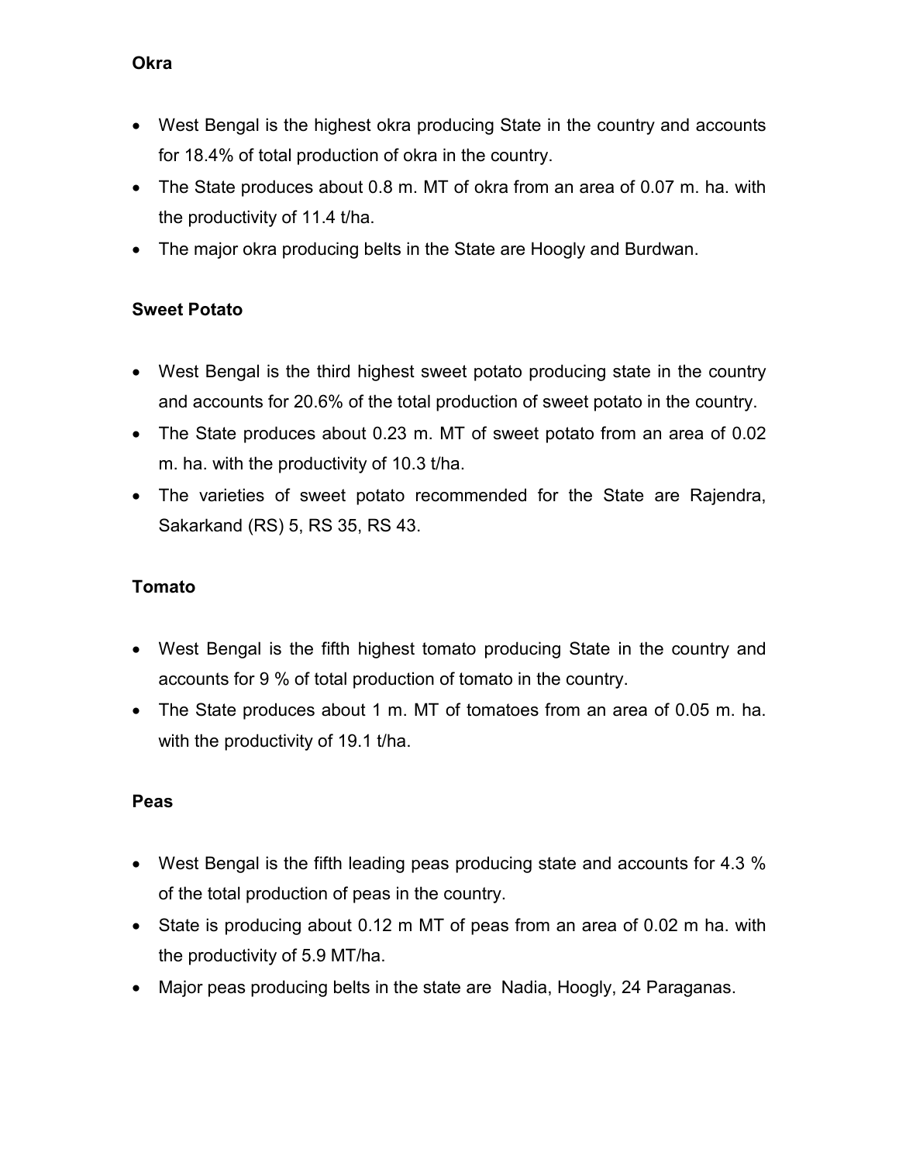# • West Bengal is the highest okra producing State in the country and accounts for 18.4% of total production of okra in the country.

- The State produces about 0.8 m. MT of okra from an area of 0.07 m. ha. with the productivity of 11.4 t/ha.
- The major okra producing belts in the State are Hoogly and Burdwan.

## Sweet Potato

- West Bengal is the third highest sweet potato producing state in the country and accounts for 20.6% of the total production of sweet potato in the country.
- The State produces about 0.23 m. MT of sweet potato from an area of 0.02 m. ha. with the productivity of 10.3 t/ha.
- The varieties of sweet potato recommended for the State are Rajendra, Sakarkand (RS) 5, RS 35, RS 43.

## Tomato

- West Bengal is the fifth highest tomato producing State in the country and accounts for 9 % of total production of tomato in the country.
- The State produces about 1 m. MT of tomatoes from an area of 0.05 m. ha. with the productivity of 19.1 t/ha.

## **Peas**

- West Bengal is the fifth leading peas producing state and accounts for 4.3 % of the total production of peas in the country.
- State is producing about 0.12 m MT of peas from an area of 0.02 m ha. with the productivity of 5.9 MT/ha.
- Major peas producing belts in the state are Nadia, Hoogly, 24 Paraganas.

## Okra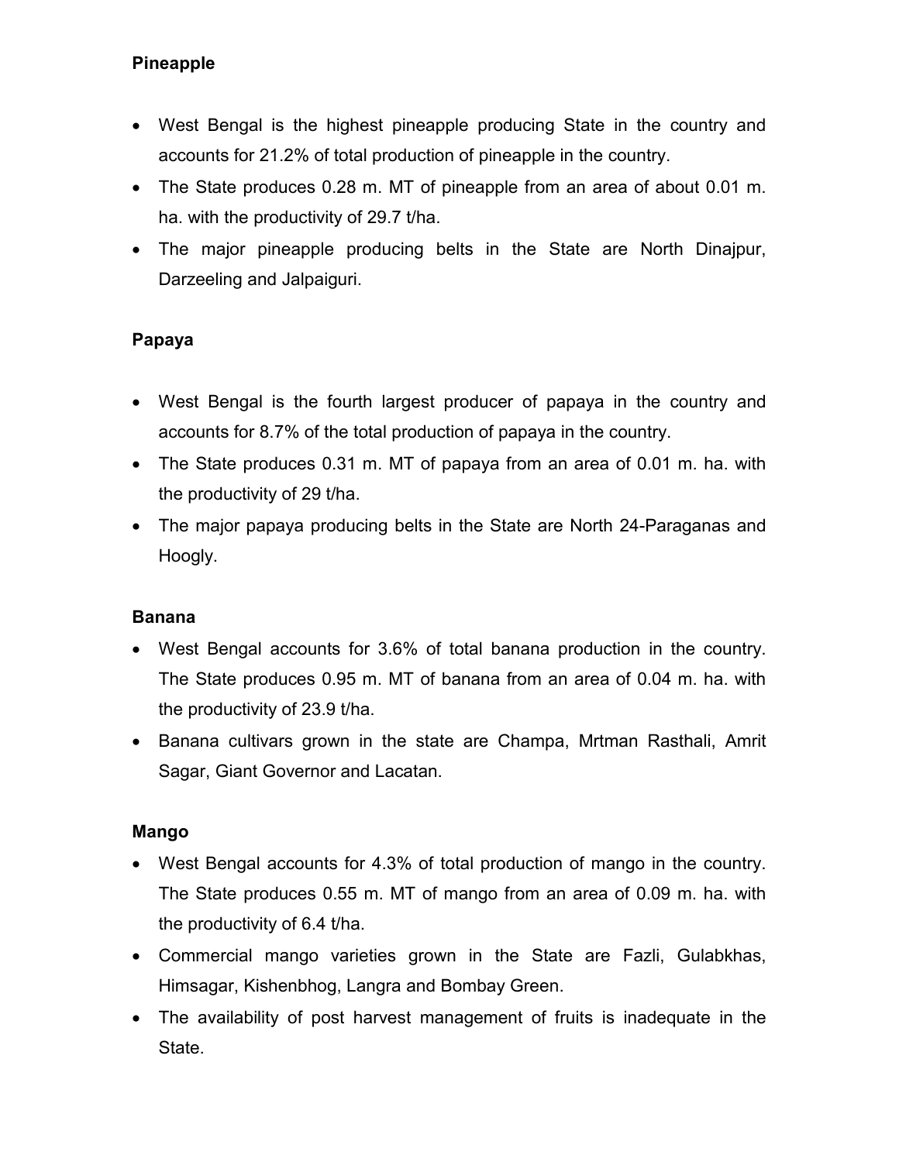### Pineapple

- West Bengal is the highest pineapple producing State in the country and accounts for 21.2% of total production of pineapple in the country.
- The State produces 0.28 m. MT of pineapple from an area of about 0.01 m. ha. with the productivity of 29.7 t/ha.
- The major pineapple producing belts in the State are North Dinajpur, Darzeeling and Jalpaiguri.

## Papaya

- West Bengal is the fourth largest producer of papaya in the country and accounts for 8.7% of the total production of papaya in the country.
- The State produces 0.31 m. MT of papaya from an area of 0.01 m. ha. with the productivity of 29 t/ha.
- The major papaya producing belts in the State are North 24-Paraganas and Hoogly.

#### Banana

- West Bengal accounts for 3.6% of total banana production in the country. The State produces 0.95 m. MT of banana from an area of 0.04 m. ha. with the productivity of 23.9 t/ha.
- Banana cultivars grown in the state are Champa, Mrtman Rasthali, Amrit Sagar, Giant Governor and Lacatan.

#### Mango

- West Bengal accounts for 4.3% of total production of mango in the country. The State produces 0.55 m. MT of mango from an area of 0.09 m. ha. with the productivity of 6.4 t/ha.
- Commercial mango varieties grown in the State are Fazli, Gulabkhas, Himsagar, Kishenbhog, Langra and Bombay Green.
- The availability of post harvest management of fruits is inadequate in the State.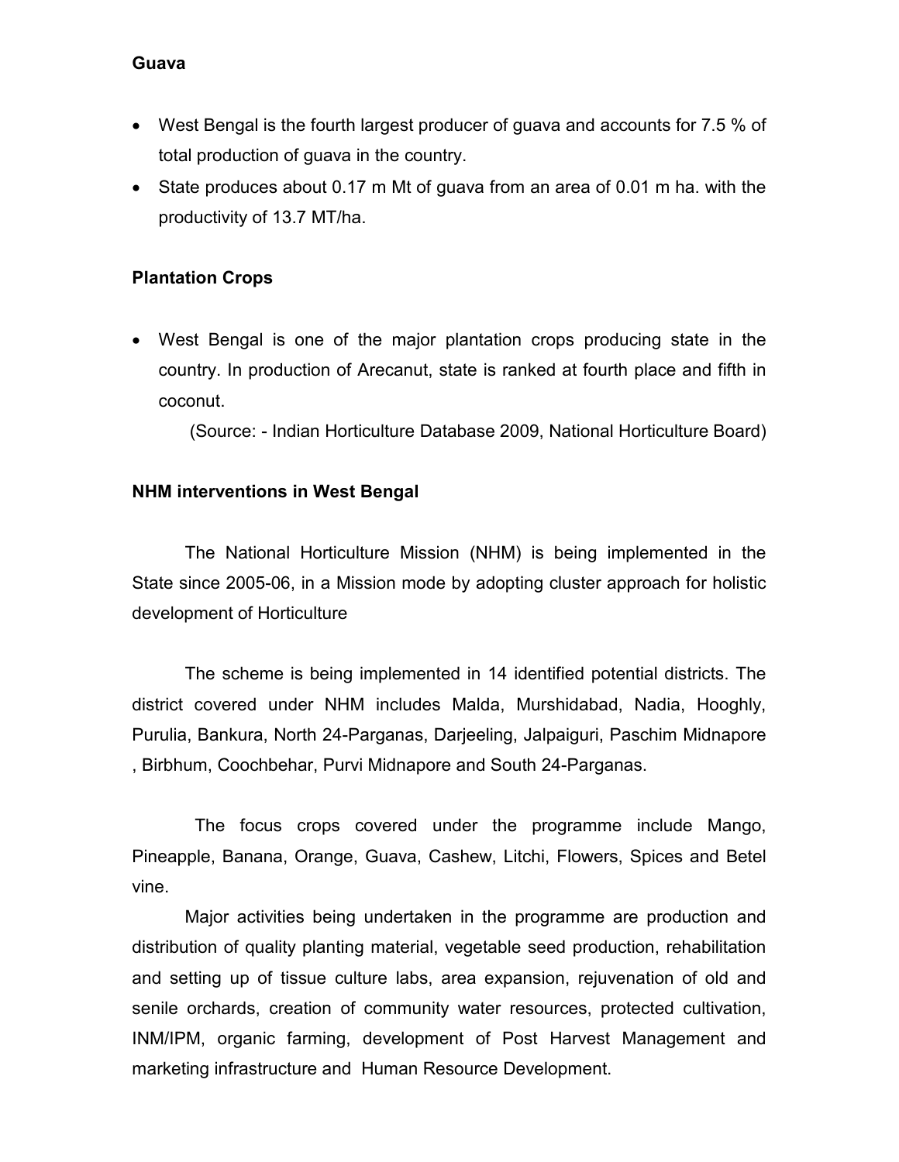#### Guava

- West Bengal is the fourth largest producer of guava and accounts for 7.5 % of total production of guava in the country.
- State produces about 0.17 m Mt of guava from an area of 0.01 m ha. with the productivity of 13.7 MT/ha.

#### Plantation Crops

• West Bengal is one of the major plantation crops producing state in the country. In production of Arecanut, state is ranked at fourth place and fifth in coconut.

(Source: - Indian Horticulture Database 2009, National Horticulture Board)

#### NHM interventions in West Bengal

The National Horticulture Mission (NHM) is being implemented in the State since 2005-06, in a Mission mode by adopting cluster approach for holistic development of Horticulture

The scheme is being implemented in 14 identified potential districts. The district covered under NHM includes Malda, Murshidabad, Nadia, Hooghly, Purulia, Bankura, North 24-Parganas, Darjeeling, Jalpaiguri, Paschim Midnapore , Birbhum, Coochbehar, Purvi Midnapore and South 24-Parganas.

 The focus crops covered under the programme include Mango, Pineapple, Banana, Orange, Guava, Cashew, Litchi, Flowers, Spices and Betel vine.

Major activities being undertaken in the programme are production and distribution of quality planting material, vegetable seed production, rehabilitation and setting up of tissue culture labs, area expansion, rejuvenation of old and senile orchards, creation of community water resources, protected cultivation, INM/IPM, organic farming, development of Post Harvest Management and marketing infrastructure and Human Resource Development.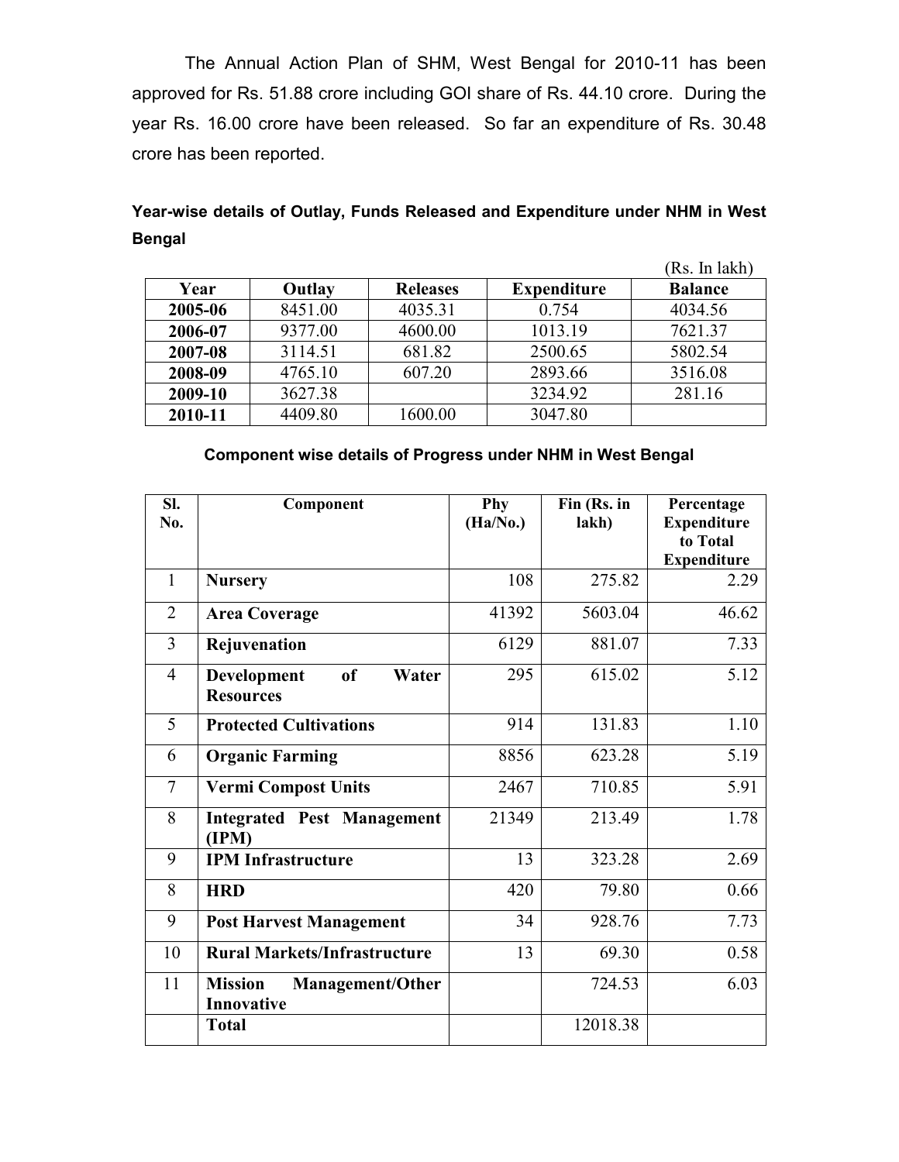The Annual Action Plan of SHM, West Bengal for 2010-11 has been approved for Rs. 51.88 crore including GOI share of Rs. 44.10 crore. During the year Rs. 16.00 crore have been released. So far an expenditure of Rs. 30.48 crore has been reported.

## Year-wise details of Outlay, Funds Released and Expenditure under NHM in West Bengal

|         |         |                 |                    | (Rs. In lakh)  |
|---------|---------|-----------------|--------------------|----------------|
| Year    | Outlay  | <b>Releases</b> | <b>Expenditure</b> | <b>Balance</b> |
| 2005-06 | 8451.00 | 4035.31         | 0.754              | 4034.56        |
| 2006-07 | 9377.00 | 4600.00         | 1013.19            | 7621.37        |
| 2007-08 | 3114.51 | 681.82          | 2500.65            | 5802.54        |
| 2008-09 | 4765.10 | 607.20          | 2893.66            | 3516.08        |
| 2009-10 | 3627.38 |                 | 3234.92            | 281.16         |
| 2010-11 | 4409.80 | 1600.00         | 3047.80            |                |

## Component wise details of Progress under NHM in West Bengal

| SI.<br>No.     | Component                                                      | Phy<br>(Ha/No.) | Fin (Rs. in<br>lakh) | Percentage<br><b>Expenditure</b><br>to Total<br><b>Expenditure</b> |
|----------------|----------------------------------------------------------------|-----------------|----------------------|--------------------------------------------------------------------|
| $\mathbf{1}$   | <b>Nursery</b>                                                 | 108             | 275.82               | 2.29                                                               |
| $\overline{2}$ | <b>Area Coverage</b>                                           | 41392           | 5603.04              | 46.62                                                              |
| 3              | Rejuvenation                                                   | 6129            | 881.07               | 7.33                                                               |
| $\overline{4}$ | Development<br><sub>of</sub><br>Water<br><b>Resources</b>      | 295             | 615.02               | 5.12                                                               |
| 5              | <b>Protected Cultivations</b>                                  | 914             | 131.83               | 1.10                                                               |
| 6              | <b>Organic Farming</b>                                         | 8856            | 623.28               | 5.19                                                               |
| $\overline{7}$ | <b>Vermi Compost Units</b>                                     | 2467            | 710.85               | 5.91                                                               |
| 8              | <b>Integrated Pest Management</b><br>(IPM)                     | 21349           | 213.49               | 1.78                                                               |
| 9              | <b>IPM</b> Infrastructure                                      | 13              | 323.28               | 2.69                                                               |
| 8              | <b>HRD</b>                                                     | 420             | 79.80                | 0.66                                                               |
| 9              | <b>Post Harvest Management</b>                                 | 34              | 928.76               | 7.73                                                               |
| 10             | <b>Rural Markets/Infrastructure</b>                            | 13              | 69.30                | 0.58                                                               |
| 11             | <b>Mission</b><br><b>Management/Other</b><br><b>Innovative</b> |                 | 724.53               | 6.03                                                               |
|                | <b>Total</b>                                                   |                 | 12018.38             |                                                                    |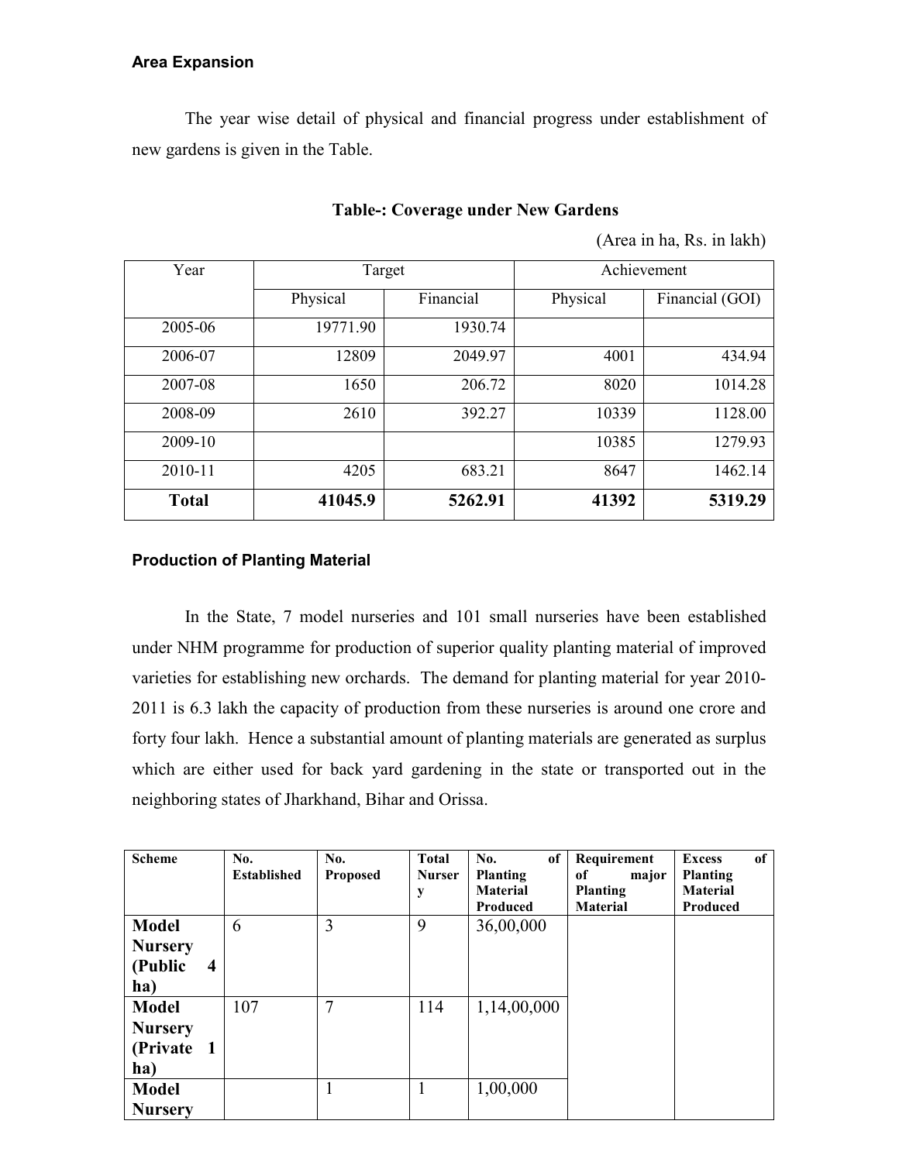#### Area Expansion

 The year wise detail of physical and financial progress under establishment of new gardens is given in the Table.

#### Table-: Coverage under New Gardens

| (Area in ha, Rs. in lakh) |  |  |  |
|---------------------------|--|--|--|
|                           |  |  |  |

| Year         | Target   |           | Achievement |                 |  |  |
|--------------|----------|-----------|-------------|-----------------|--|--|
|              | Physical | Financial | Physical    | Financial (GOI) |  |  |
| 2005-06      | 19771.90 | 1930.74   |             |                 |  |  |
| 2006-07      | 12809    | 2049.97   | 4001        | 434.94          |  |  |
| 2007-08      | 1650     | 206.72    | 8020        | 1014.28         |  |  |
| 2008-09      | 2610     | 392.27    | 10339       | 1128.00         |  |  |
| 2009-10      |          |           | 10385       | 1279.93         |  |  |
| 2010-11      | 4205     | 683.21    | 8647        | 1462.14         |  |  |
| <b>Total</b> | 41045.9  | 5262.91   | 41392       | 5319.29         |  |  |

#### Production of Planting Material

In the State, 7 model nurseries and 101 small nurseries have been established under NHM programme for production of superior quality planting material of improved varieties for establishing new orchards. The demand for planting material for year 2010- 2011 is 6.3 lakh the capacity of production from these nurseries is around one crore and forty four lakh. Hence a substantial amount of planting materials are generated as surplus which are either used for back yard gardening in the state or transported out in the neighboring states of Jharkhand, Bihar and Orissa.

| <b>Scheme</b>                                       |                         | No.<br><b>Established</b> | No.<br><b>Proposed</b> | <b>Total</b><br><b>Nurser</b><br>y | No.<br><sub>of</sub><br><b>Planting</b><br><b>Material</b><br><b>Produced</b> | Requirement<br>of<br>major<br><b>Planting</b><br><b>Material</b> | <b>Excess</b><br><b>Planting</b><br>Material<br><b>Produced</b> | <sub>of</sub> |
|-----------------------------------------------------|-------------------------|---------------------------|------------------------|------------------------------------|-------------------------------------------------------------------------------|------------------------------------------------------------------|-----------------------------------------------------------------|---------------|
| <b>Model</b><br><b>Nursery</b><br>(Public<br>ha)    | $\overline{\mathbf{4}}$ | 6                         | 3                      | 9                                  | 36,00,000                                                                     |                                                                  |                                                                 |               |
| <b>Model</b><br><b>Nursery</b><br>(Private 1<br>ha) |                         | 107                       | 7                      | 114                                | 1,14,00,000                                                                   |                                                                  |                                                                 |               |
| <b>Model</b><br><b>Nursery</b>                      |                         |                           |                        | 1                                  | 1,00,000                                                                      |                                                                  |                                                                 |               |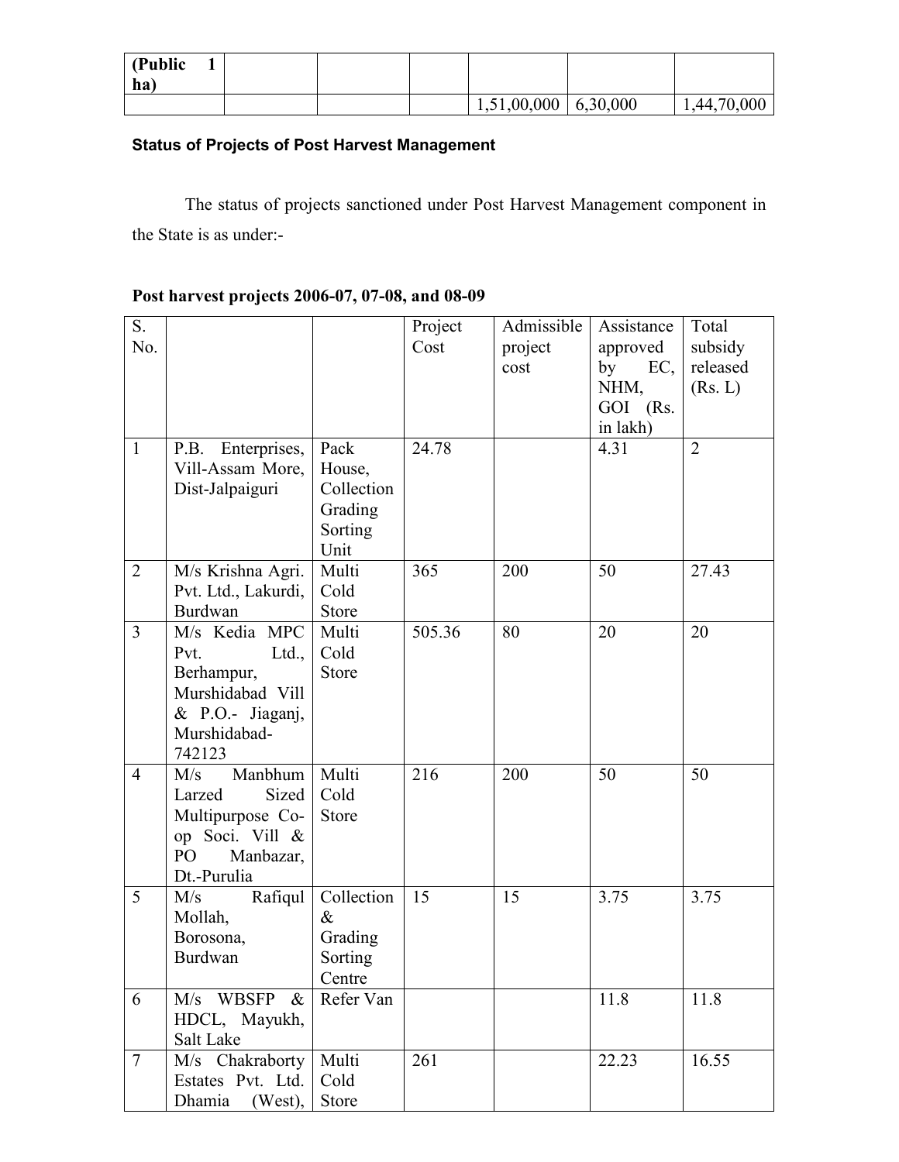| (Public<br>$\mathbf{ha}$ |  |                          |             |
|--------------------------|--|--------------------------|-------------|
|                          |  | $1,51,00,000$   6,30,000 | 1,44,70,000 |

### Status of Projects of Post Harvest Management

 The status of projects sanctioned under Post Harvest Management component in the State is as under:-

## Post harvest projects 2006-07, 07-08, and 08-09

| S.             |                      |              | Project | Admissible | Assistance | Total          |
|----------------|----------------------|--------------|---------|------------|------------|----------------|
| No.            |                      |              | Cost    | project    | approved   | subsidy        |
|                |                      |              |         | cost       | by<br>EC,  | released       |
|                |                      |              |         |            | NHM,       | (Rs. L)        |
|                |                      |              |         |            | GOI (Rs.   |                |
|                |                      |              |         |            | in lakh)   |                |
| $\mathbf{1}$   | P.B.<br>Enterprises, | Pack         | 24.78   |            | 4.31       | $\overline{2}$ |
|                | Vill-Assam More,     | House,       |         |            |            |                |
|                | Dist-Jalpaiguri      | Collection   |         |            |            |                |
|                |                      | Grading      |         |            |            |                |
|                |                      | Sorting      |         |            |            |                |
|                |                      | Unit         |         |            |            |                |
| $\overline{2}$ | M/s Krishna Agri.    | Multi        | 365     | 200        | 50         | 27.43          |
|                | Pvt. Ltd., Lakurdi,  | Cold         |         |            |            |                |
|                | Burdwan              | Store        |         |            |            |                |
| $\overline{3}$ | M/s Kedia MPC        | Multi        | 505.36  | 80         | 20         | 20             |
|                | Pvt.<br>Ltd.,        | Cold         |         |            |            |                |
|                | Berhampur,           | <b>Store</b> |         |            |            |                |
|                | Murshidabad Vill     |              |         |            |            |                |
|                | & P.O.- Jiaganj,     |              |         |            |            |                |
|                | Murshidabad-         |              |         |            |            |                |
|                | 742123               |              |         |            |            |                |
| $\overline{4}$ | Manbhum<br>M/s       | Multi        | 216     | 200        | 50         | 50             |
|                | Larzed<br>Sized      | Cold         |         |            |            |                |
|                | Multipurpose Co-     | <b>Store</b> |         |            |            |                |
|                | op Soci. Vill &      |              |         |            |            |                |
|                | PO<br>Manbazar,      |              |         |            |            |                |
|                | Dt.-Purulia          |              |         |            |            |                |
| 5              | Rafiqul<br>M/s       | Collection   | 15      | 15         | 3.75       | 3.75           |
|                | Mollah,              | $\&$         |         |            |            |                |
|                | Borosona,            | Grading      |         |            |            |                |
|                | <b>Burdwan</b>       | Sorting      |         |            |            |                |
|                |                      | Centre       |         |            |            |                |
| 6              | $M/s$ WBSFP &        | Refer Van    |         |            | 11.8       | 11.8           |
|                | HDCL, Mayukh,        |              |         |            |            |                |
|                | <b>Salt Lake</b>     |              |         |            |            |                |
| $\overline{7}$ | M/s Chakraborty      | Multi        | 261     |            | 22.23      | 16.55          |
|                | Estates Pvt. Ltd.    | Cold         |         |            |            |                |
|                | Dhamia<br>(West),    | Store        |         |            |            |                |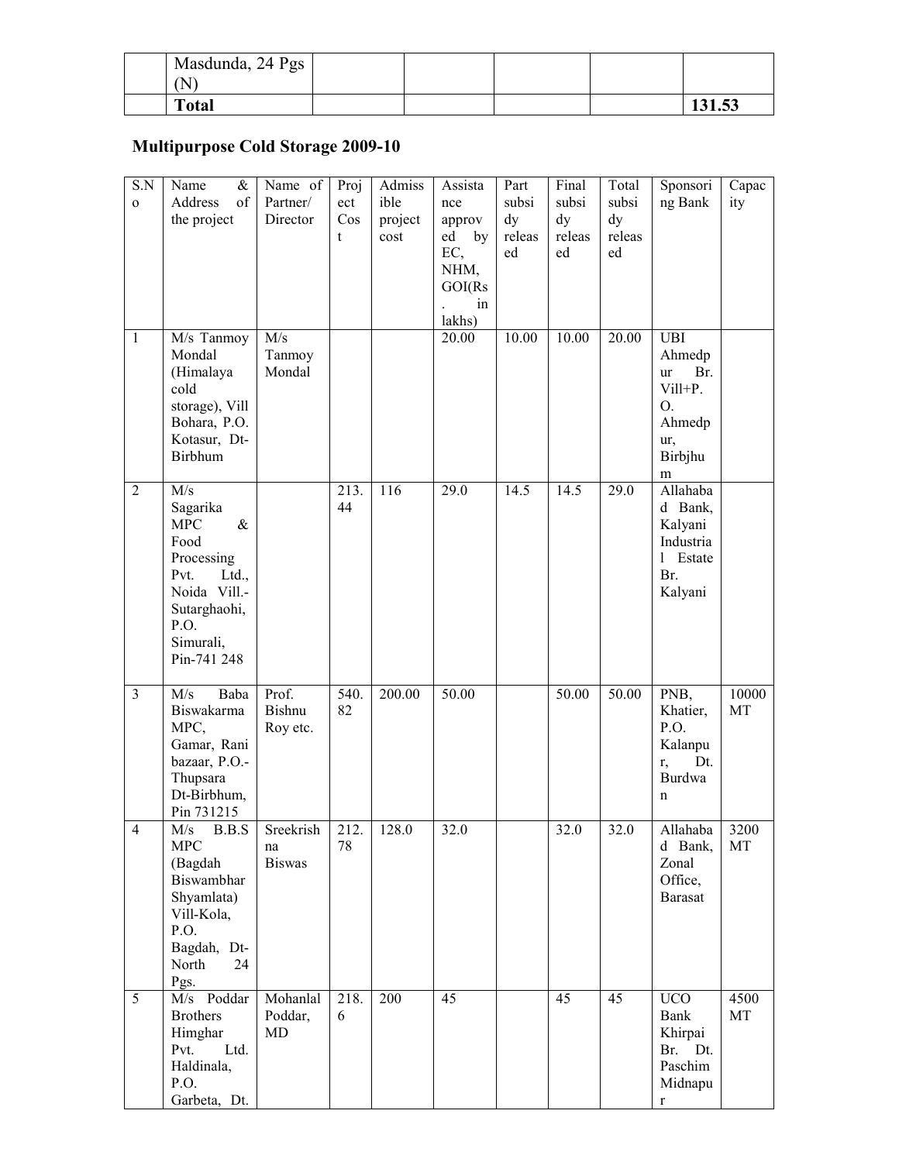| Masdunda, 24 Pgs |  |  |        |
|------------------|--|--|--------|
| $\overline{1}$   |  |  |        |
| <b>Total</b>     |  |  | 131.53 |

## Multipurpose Cold Storage 2009-10

| S.N<br>$\mathbf{o}$ | Name<br>&<br>of<br>Address<br>the project                                                                                                        | Name of<br>Partner/<br>Director      | Proj<br>ect<br>Cos<br>t | Admiss<br>ible<br>project<br>cost | Assista<br>nce<br>approv<br>ed<br>by<br>EC,<br>NHM,<br>GOI(Rs<br>in<br>lakhs) | Part<br>subsi<br>$\mathrm{d}\mathrm{v}$<br>releas<br>ed | Final<br>subsi<br>dy<br>releas<br>ed | Total<br>subsi<br>$\mathrm{d}\mathrm{y}$<br>releas<br>ed | Sponsori<br>ng Bank                                                                 | Capac<br>ity |
|---------------------|--------------------------------------------------------------------------------------------------------------------------------------------------|--------------------------------------|-------------------------|-----------------------------------|-------------------------------------------------------------------------------|---------------------------------------------------------|--------------------------------------|----------------------------------------------------------|-------------------------------------------------------------------------------------|--------------|
| 1                   | M/s Tanmoy<br>Mondal<br>(Himalaya<br>cold<br>storage), Vill<br>Bohara, P.O.<br>Kotasur, Dt-<br>Birbhum                                           | $\overline{M/s}$<br>Tanmoy<br>Mondal |                         |                                   | 20.00                                                                         | 10.00                                                   | 10.00                                | 20.00                                                    | <b>UBI</b><br>Ahmedp<br>Br.<br>ur<br>Vill+P.<br>O.<br>Ahmedp<br>ur,<br>Birbjhu<br>m |              |
| $\overline{2}$      | M/s<br>Sagarika<br>$\&$<br><b>MPC</b><br>Food<br>Processing<br>Pvt.<br>Ltd.,<br>Noida Vill.-<br>Sutarghaohi,<br>P.O.<br>Simurali,<br>Pin-741 248 |                                      | 213.<br>44              | 116                               | 29.0                                                                          | 14.5                                                    | 14.5                                 | 29.0                                                     | Allahaba<br>d Bank,<br>Kalyani<br>Industria<br>1 Estate<br>Br.<br>Kalyani           |              |
| $\overline{3}$      | M/s<br>Baba<br>Biswakarma<br>MPC,<br>Gamar, Rani<br>bazaar, P.O.-<br>Thupsara<br>Dt-Birbhum,<br>Pin 731215                                       | Prof.<br><b>Bishnu</b><br>Roy etc.   | 540.<br>82              | 200.00                            | 50.00                                                                         |                                                         | 50.00                                | 50.00                                                    | PNB,<br>Khatier,<br>P.O.<br>Kalanpu<br>Dt.<br>r,<br><b>Burdwa</b><br>n              | 10000<br>MT  |
| $\overline{4}$      | M/s B.B.S Sreekrish<br><b>MPC</b><br>(Bagdah<br>Biswambhar<br>Shyamlata)<br>Vill-Kola,<br>P.O.<br>Bagdah, Dt-<br>North<br>24<br>Pgs.             | na<br><b>Biswas</b>                  | 212<br>78               | 128.0                             | 32.0                                                                          |                                                         | 32.0                                 | 32.0                                                     | Allahaba<br>d Bank,<br>Zonal<br>Office,<br><b>Barasat</b>                           | 3200<br>MT   |
| 5                   | M/s Poddar<br><b>Brothers</b><br>Himghar<br>Ltd.<br>Pvt.<br>Haldinala,<br>P.O.<br>Garbeta, Dt.                                                   | Mohanlal<br>Poddar,<br><b>MD</b>     | 218.<br>6               | 200                               | 45                                                                            |                                                         | 45                                   | 45                                                       | <b>UCO</b><br><b>Bank</b><br>Khirpai<br>Br.<br>Dt.<br>Paschim<br>Midnapu<br>r       | 4500<br>MT   |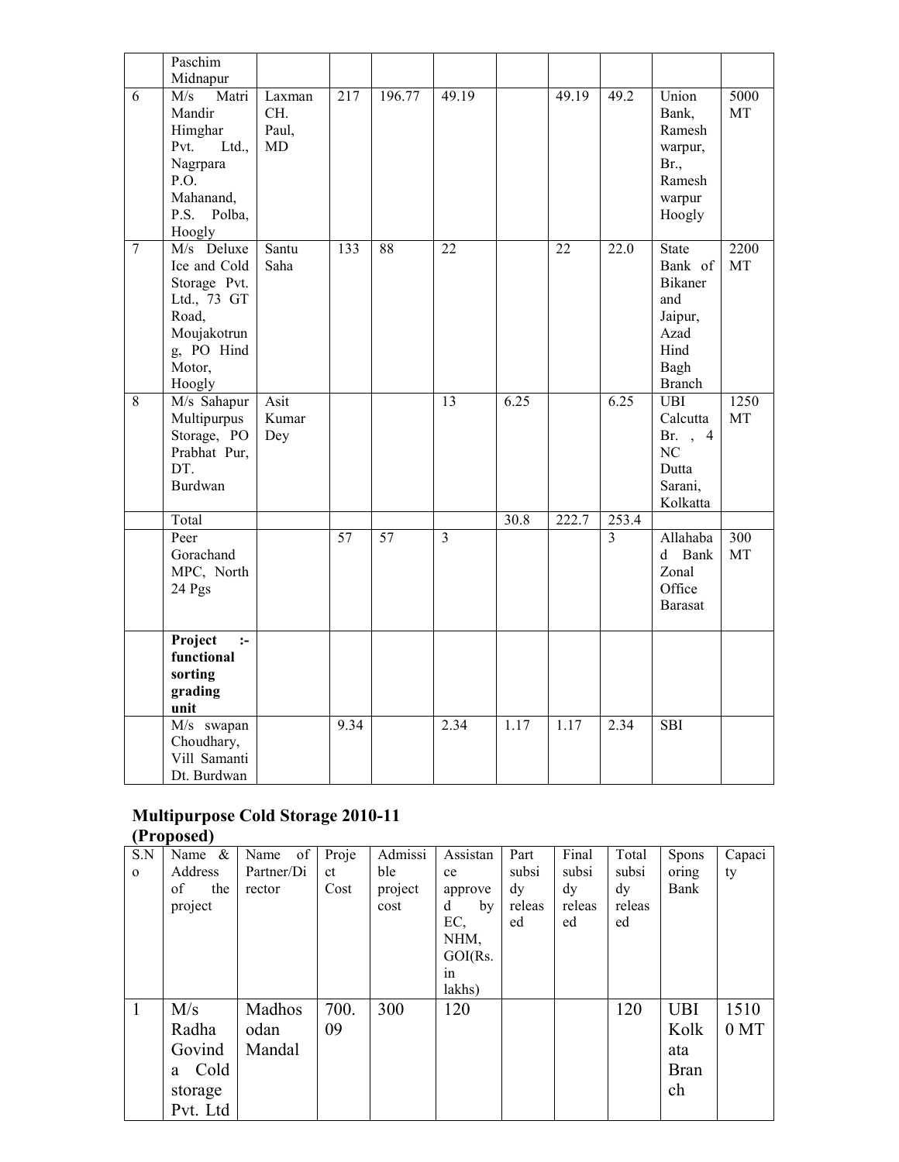|                | Paschim                                                                                                             |                                     |      |        |                |      |       |                   |                                                                                                      |                        |
|----------------|---------------------------------------------------------------------------------------------------------------------|-------------------------------------|------|--------|----------------|------|-------|-------------------|------------------------------------------------------------------------------------------------------|------------------------|
|                | Midnapur                                                                                                            |                                     |      |        |                |      |       |                   |                                                                                                      |                        |
| 6              | M/s<br>Matri<br>Mandir<br>Himghar<br>Pvt.<br>Ltd.,<br>Nagrpara<br>P.O.<br>Mahanand,<br>P.S.<br>Polba,<br>Hoogly     | Laxman<br>CH.<br>Paul,<br><b>MD</b> | 217  | 196.77 | 49.19          |      | 49.19 | 49.2              | Union<br>Bank,<br>Ramesh<br>warpur,<br>Br.,<br>Ramesh<br>warpur<br>Hoogly                            | 5000<br><b>MT</b>      |
| $\overline{7}$ | M/s Deluxe<br>Ice and Cold<br>Storage Pvt.<br>Ltd., 73 GT<br>Road,<br>Moujakotrun<br>g, PO Hind<br>Motor,<br>Hoogly | Santu<br>Saha                       | 133  | 88     | 22             |      | 22    | $\overline{22.0}$ | <b>State</b><br>Bank of<br><b>Bikaner</b><br>and<br>Jaipur,<br>Azad<br>Hind<br>Bagh<br><b>Branch</b> | 2200<br>MT             |
| 8              | M/s Sahapur<br>Multipurpus<br>Storage, PO<br>Prabhat Pur,<br>DT.<br>Burdwan                                         | Asit<br>Kumar<br>Dey                |      |        | 13             | 6.25 |       | 6.25              | <b>UBI</b><br>Calcutta<br>Br., $4$<br>N <sub>C</sub><br>Dutta<br>Sarani,<br>Kolkatta                 | 1250<br>MT             |
|                | Total                                                                                                               |                                     |      |        |                | 30.8 | 222.7 | 253.4             |                                                                                                      |                        |
|                | Peer<br>Gorachand<br>MPC, North<br>24 Pgs                                                                           |                                     | 57   | 57     | $\overline{3}$ |      |       | $\overline{3}$    | Allahaba<br>d Bank<br>Zonal<br>Office<br><b>Barasat</b>                                              | $\overline{300}$<br>MT |
|                | Project<br>$\ddot{\phantom{1}}$<br>functional<br>sorting<br>grading<br>unit                                         |                                     |      |        |                |      |       |                   |                                                                                                      |                        |
|                | M/s swapan<br>Choudhary,<br>Vill Samanti<br>Dt. Burdwan                                                             |                                     | 9.34 |        | 2.34           | 1.17 | 1.17  | $\overline{2.34}$ | $\overline{\text{SBI}}$                                                                              |                        |

## Multipurpose Cold Storage 2010-11

(Proposed)

| S.N          | Name &    | of<br>Name | Proje | Admissi | Assistan | Part   | Final  | Total  | Spons       | Capaci          |
|--------------|-----------|------------|-------|---------|----------|--------|--------|--------|-------------|-----------------|
| $\Omega$     | Address   | Partner/Di | ct    | ble     | ce       | subsi  | subsi  | subsi  | oring       | ty              |
|              | of<br>the | rector     | Cost  | project | approve  | dy     | dy     | dy     | Bank        |                 |
|              | project   |            |       | cost    | d<br>by  | releas | releas | releas |             |                 |
|              |           |            |       |         | EC,      | ed     | ed     | ed     |             |                 |
|              |           |            |       |         | NHM,     |        |        |        |             |                 |
|              |           |            |       |         | GOI(Rs.  |        |        |        |             |                 |
|              |           |            |       |         | 1n       |        |        |        |             |                 |
|              |           |            |       |         | lakhs)   |        |        |        |             |                 |
| $\mathbf{1}$ | M/s       | Madhos     | 700.  | 300     | 120      |        |        | 120    | <b>UBI</b>  | 1510            |
|              | Radha     | odan       | 09    |         |          |        |        |        | Kolk        | 0 <sub>MT</sub> |
|              | Govind    | Mandal     |       |         |          |        |        |        | ata         |                 |
|              | a Cold    |            |       |         |          |        |        |        | <b>Bran</b> |                 |
|              | storage   |            |       |         |          |        |        |        | ch          |                 |
|              | Pvt. Ltd  |            |       |         |          |        |        |        |             |                 |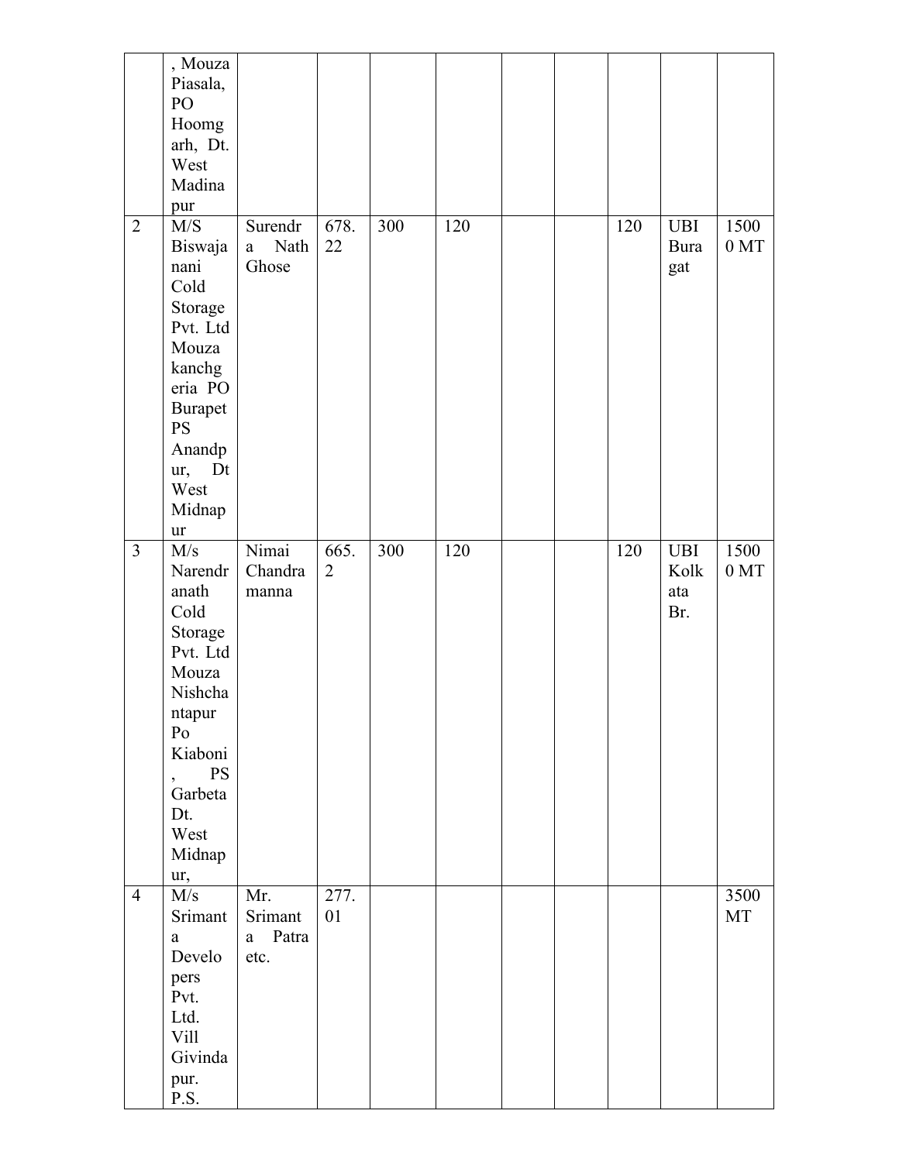|                | , Mouza<br>Piasala,<br>PO<br>Hoomg<br>arh, Dt.<br>West<br>Madina<br>pur                                                                                           |                                          |                        |     |     |  |     |                                  |                          |
|----------------|-------------------------------------------------------------------------------------------------------------------------------------------------------------------|------------------------------------------|------------------------|-----|-----|--|-----|----------------------------------|--------------------------|
| $\overline{2}$ | M/S<br>Biswaja<br>nani<br>Cold<br>Storage<br>Pvt. Ltd<br>Mouza<br>kanchg<br>eria PO<br><b>Burapet</b><br><b>PS</b><br>Anandp<br>Dt<br>ur,<br>West<br>Midnap<br>ur | Surendr<br>Nath<br>$\mathbf{a}$<br>Ghose | 678.<br>22             | 300 | 120 |  | 120 | <b>UBI</b><br><b>Bura</b><br>gat | 1500<br>$0\,\mathrm{MT}$ |
| $\overline{3}$ | M/s<br>Narendr<br>anath<br>Cold<br>Storage<br>Pvt. Ltd<br>Mouza<br>Nishcha<br>ntapur<br>Po<br>Kiaboni<br><b>PS</b><br>Garbeta<br>Dt.<br>West<br>Midnap<br>ur,     | Nimai<br>Chandra<br>manna                | 665.<br>$\overline{2}$ | 300 | 120 |  | 120 | <b>UBI</b><br>Kolk<br>ata<br>Br. | 1500<br>$0\,\mathrm{MT}$ |
| $\overline{4}$ | M/s<br>Srimant<br>a<br>Develo<br>pers<br>Pvt.<br>Ltd.<br>Vill<br>Givinda<br>pur.<br>P.S.                                                                          | Mr.<br>Srimant<br>Patra<br>a<br>etc.     | 277.<br>01             |     |     |  |     |                                  | 3500<br>MT               |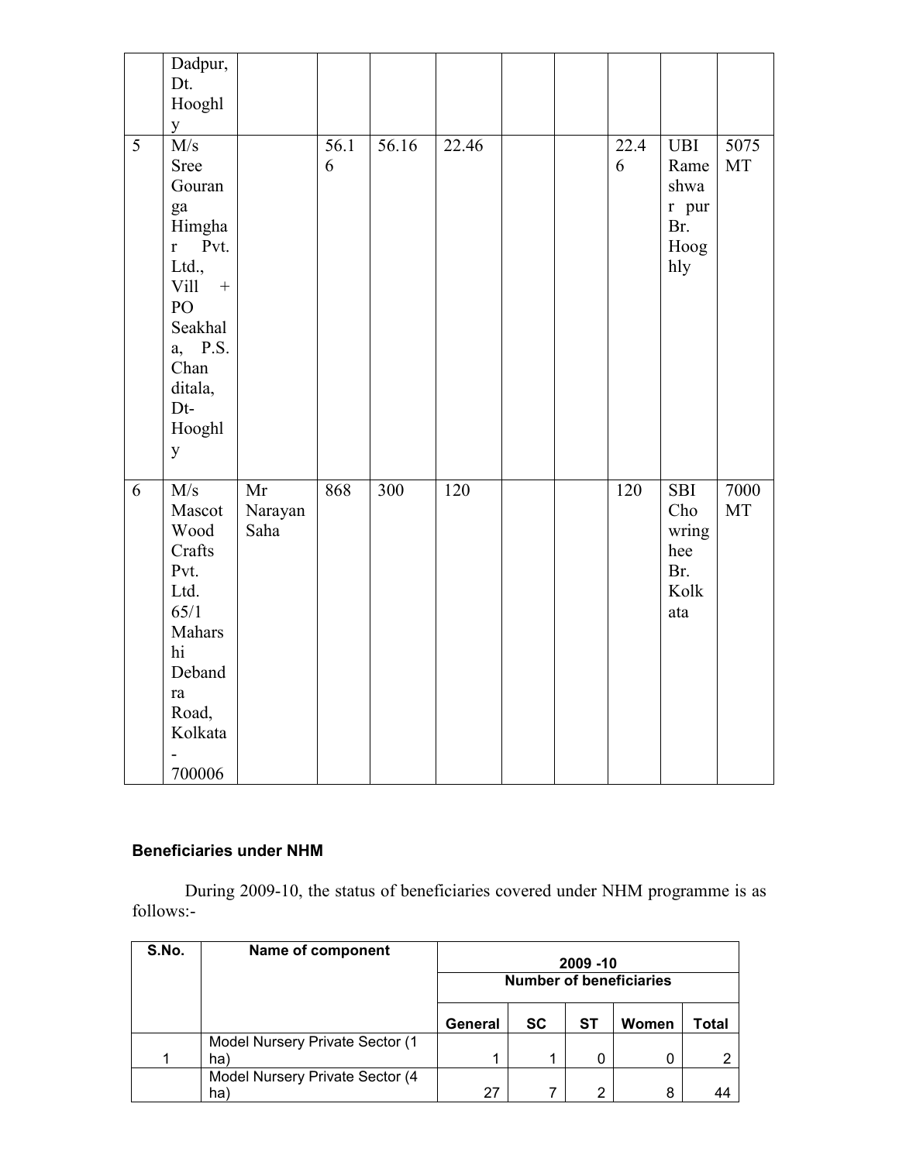|                | Dadpur,<br>Dt.<br>Hooghl<br>y                                                                                                                                                 |                       |           |                  |                  |  |                  |                                                                      |            |
|----------------|-------------------------------------------------------------------------------------------------------------------------------------------------------------------------------|-----------------------|-----------|------------------|------------------|--|------------------|----------------------------------------------------------------------|------------|
| $\overline{5}$ | M/s<br>Sree<br>Gouran<br>ga<br>Himgha<br>Pvt.<br>r <sub>1</sub><br>Ltd.,<br>Vill<br>$\ddot{}$<br>PO<br>Seakhal<br>a, P.S.<br>Chan<br>ditala,<br>Dt-<br>Hooghl<br>$\mathbf{y}$ |                       | 56.1<br>6 | 56.16            | 22.46            |  | 22.4<br>6        | <b>UBI</b><br>Rame<br>shwa<br>r pur<br>Br.<br>Hoog<br>hly            | 5075<br>MT |
| $\overline{6}$ | M/s<br>Mascot<br>Wood<br>Crafts<br>Pvt.<br>Ltd.<br>65/1<br>Mahars<br>hi<br>Deband<br>ra<br>Road,<br>Kolkata<br>700006                                                         | Mr<br>Narayan<br>Saha | 868       | $\overline{300}$ | $\overline{120}$ |  | $\overline{120}$ | $\overline{\text{SBI}}$<br>Cho<br>wring<br>hee<br>Br.<br>Kolk<br>ata | 7000<br>MT |

### Beneficiaries under NHM

During 2009-10, the status of beneficiaries covered under NHM programme is as follows:-

| Name of component               |         |           |           |       |                                                    |
|---------------------------------|---------|-----------|-----------|-------|----------------------------------------------------|
|                                 | General | <b>SC</b> | <b>ST</b> | Women | Total                                              |
| Model Nursery Private Sector (1 |         |           |           |       |                                                    |
| ha)                             |         |           |           | 0     | ◠                                                  |
| Model Nursery Private Sector (4 |         |           | ົ         |       | 44                                                 |
|                                 | ha)     | 27        |           |       | $2009 - 10$<br><b>Number of beneficiaries</b><br>8 |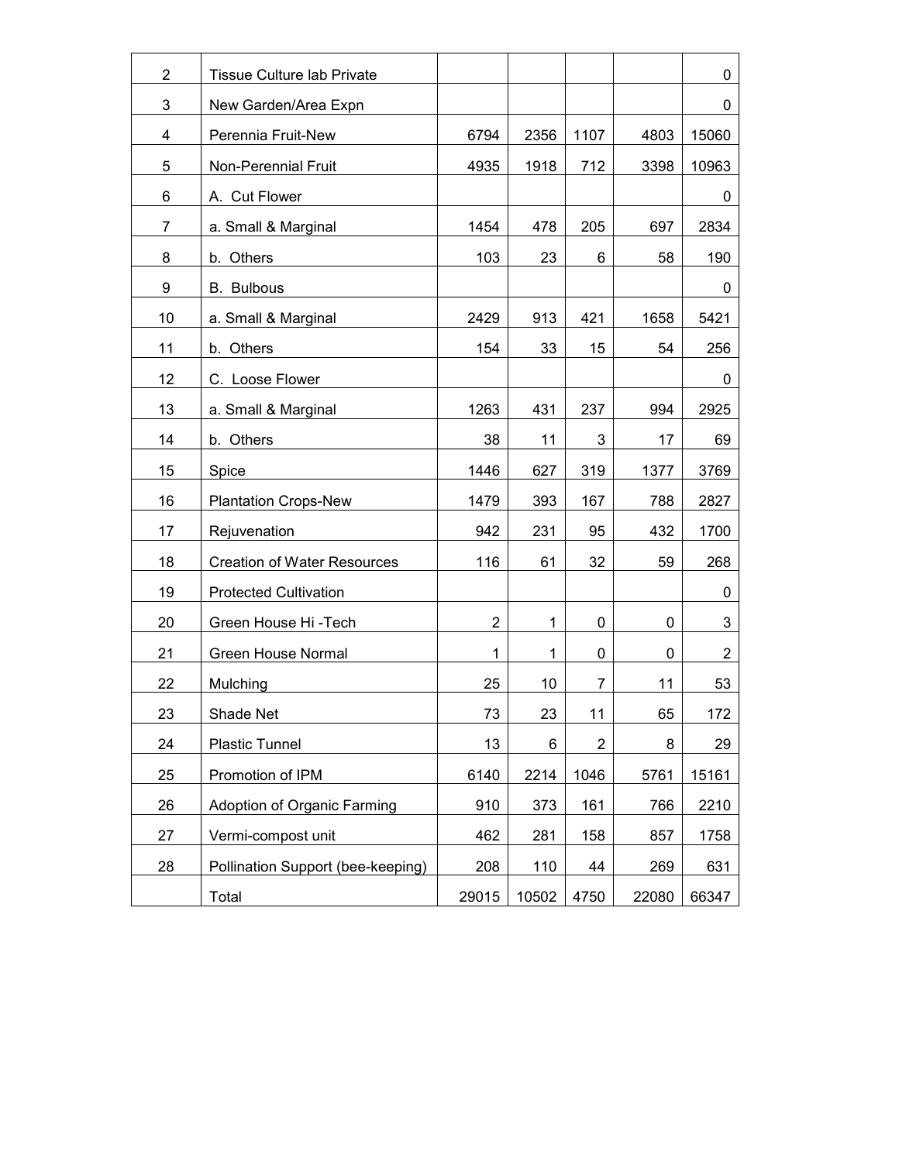| $\overline{2}$ | <b>Tissue Culture lab Private</b>  |                |       |                |       | 0     |
|----------------|------------------------------------|----------------|-------|----------------|-------|-------|
| 3              | New Garden/Area Expn               |                |       |                |       | 0     |
| 4              | Perennia Fruit-New                 | 6794           | 2356  | 1107           | 4803  | 15060 |
| 5              | Non-Perennial Fruit                | 4935           | 1918  | 712            | 3398  | 10963 |
| 6              | A. Cut Flower                      |                |       |                |       | 0     |
| 7              | a. Small & Marginal                | 1454           | 478   | 205            | 697   | 2834  |
| 8              | b. Others                          | 103            | 23    | 6              | 58    | 190   |
| 9              | <b>B.</b> Bulbous                  |                |       |                |       | 0     |
| 10             | a. Small & Marginal                | 2429           | 913   | 421            | 1658  | 5421  |
| 11             | b. Others                          | 154            | 33    | 15             | 54    | 256   |
| 12             | C. Loose Flower                    |                |       |                |       | 0     |
| 13             | a. Small & Marginal                | 1263           | 431   | 237            | 994   | 2925  |
| 14             | b. Others                          | 38             | 11    | 3              | 17    | 69    |
| 15             | Spice                              | 1446           | 627   | 319            | 1377  | 3769  |
| 16             | <b>Plantation Crops-New</b>        | 1479           | 393   | 167            | 788   | 2827  |
| 17             | Rejuvenation                       | 942            | 231   | 95             | 432   | 1700  |
| 18             | <b>Creation of Water Resources</b> | 116            | 61    | 32             | 59    | 268   |
| 19             | <b>Protected Cultivation</b>       |                |       |                |       | 0     |
| 20             | Green House Hi-Tech                | $\overline{2}$ | 1     | 0              | 0     | 3     |
| 21             | Green House Normal                 | 1              | 1     | 0              | 0     | 2     |
| 22             | Mulching                           | 25             | 10    | 7              | 11    | 53    |
| 23             | Shade Net                          | 73             | 23    | 11             | 65    | 172   |
| 24             | <b>Plastic Tunnel</b>              | 13             | 6     | $\overline{2}$ | 8     | 29    |
| 25             | Promotion of IPM                   | 6140           | 2214  | 1046           | 5761  | 15161 |
| 26             | Adoption of Organic Farming        | 910            | 373   | 161            | 766   | 2210  |
| 27             | Vermi-compost unit                 | 462            | 281   | 158            | 857   | 1758  |
| 28             | Pollination Support (bee-keeping)  | 208            | 110   | 44             | 269   | 631   |
|                | Total                              | 29015          | 10502 | 4750           | 22080 | 66347 |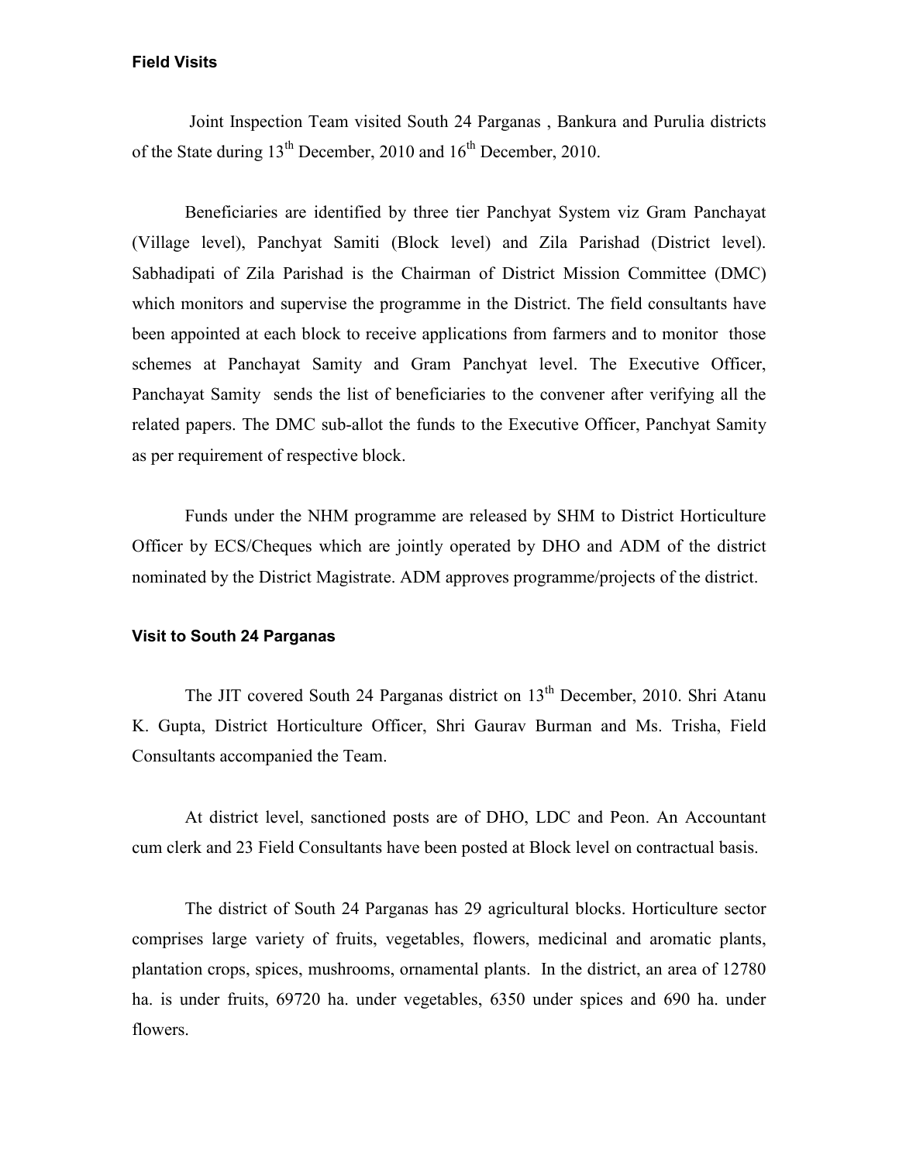#### Field Visits

 Joint Inspection Team visited South 24 Parganas , Bankura and Purulia districts of the State during  $13<sup>th</sup>$  December, 2010 and  $16<sup>th</sup>$  December, 2010.

 Beneficiaries are identified by three tier Panchyat System viz Gram Panchayat (Village level), Panchyat Samiti (Block level) and Zila Parishad (District level). Sabhadipati of Zila Parishad is the Chairman of District Mission Committee (DMC) which monitors and supervise the programme in the District. The field consultants have been appointed at each block to receive applications from farmers and to monitor those schemes at Panchayat Samity and Gram Panchyat level. The Executive Officer, Panchayat Samity sends the list of beneficiaries to the convener after verifying all the related papers. The DMC sub-allot the funds to the Executive Officer, Panchyat Samity as per requirement of respective block.

 Funds under the NHM programme are released by SHM to District Horticulture Officer by ECS/Cheques which are jointly operated by DHO and ADM of the district nominated by the District Magistrate. ADM approves programme/projects of the district.

#### Visit to South 24 Parganas

The JIT covered South 24 Parganas district on 13<sup>th</sup> December, 2010. Shri Atanu K. Gupta, District Horticulture Officer, Shri Gaurav Burman and Ms. Trisha, Field Consultants accompanied the Team.

 At district level, sanctioned posts are of DHO, LDC and Peon. An Accountant cum clerk and 23 Field Consultants have been posted at Block level on contractual basis.

 The district of South 24 Parganas has 29 agricultural blocks. Horticulture sector comprises large variety of fruits, vegetables, flowers, medicinal and aromatic plants, plantation crops, spices, mushrooms, ornamental plants. In the district, an area of 12780 ha. is under fruits, 69720 ha. under vegetables, 6350 under spices and 690 ha. under flowers.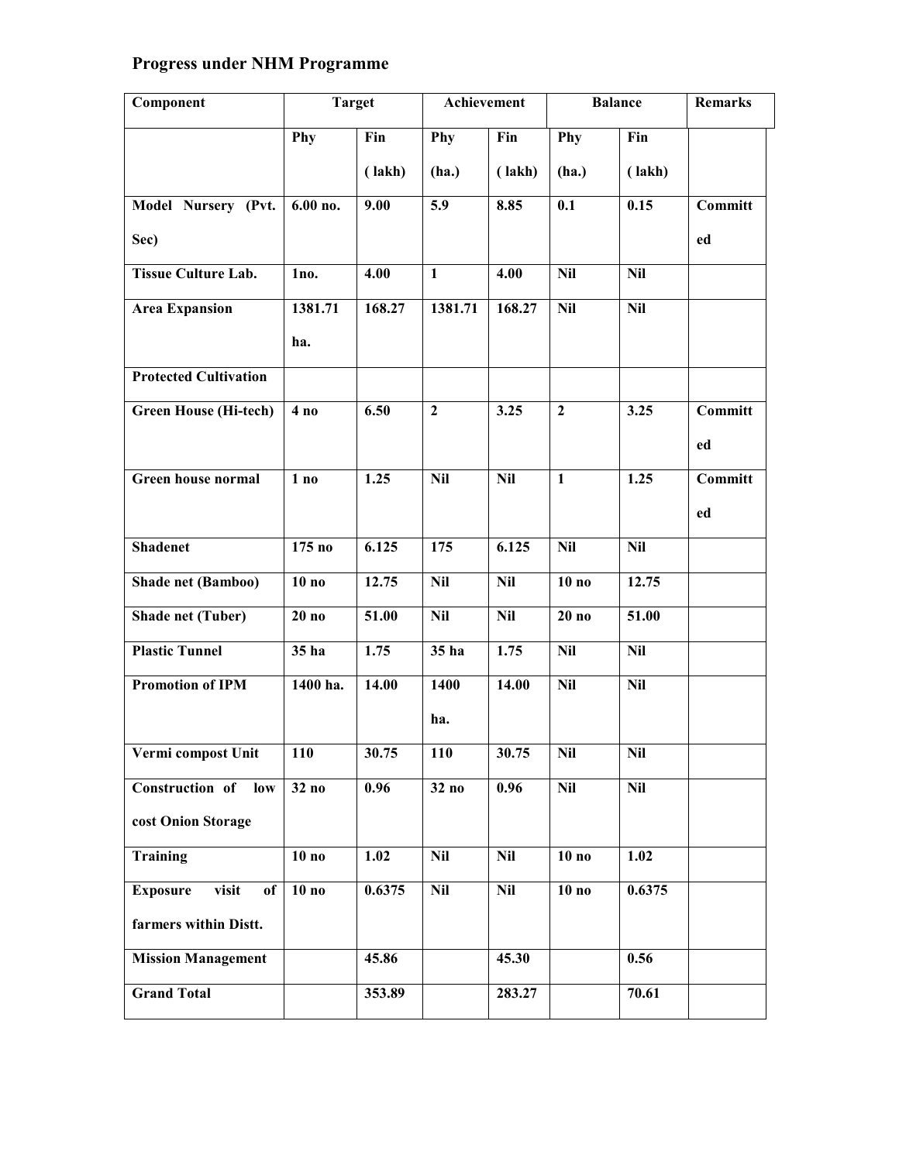## Progress under NHM Programme

| Component                                                          | <b>Target</b>   |        | Achievement      |            |                  | <b>Balance</b>    | <b>Remarks</b> |
|--------------------------------------------------------------------|-----------------|--------|------------------|------------|------------------|-------------------|----------------|
|                                                                    | Phy             | Fin    | Phy              | Fin        | Phy              | Fin               |                |
|                                                                    |                 | (lakh) | (ha.)            | (lakh)     | (ha.)            | (lakh)            |                |
| Model Nursery (Pvt.                                                | 6.00 no.        | 9.00   | $\overline{5.9}$ | 8.85       | 0.1              | $\overline{0.15}$ | Committ        |
| Sec)                                                               |                 |        |                  |            |                  |                   | ed             |
| <b>Tissue Culture Lab.</b>                                         | 1no.            | 4.00   | $\mathbf{1}$     | 4.00       | <b>Nil</b>       | <b>Nil</b>        |                |
| <b>Area Expansion</b>                                              | 1381.71<br>ha.  | 168.27 | 1381.71          | 168.27     | <b>Nil</b>       | <b>Nil</b>        |                |
| <b>Protected Cultivation</b>                                       |                 |        |                  |            |                  |                   |                |
| <b>Green House (Hi-tech)</b>                                       | 4 no            | 6.50   | $\overline{2}$   | 3.25       | $\boldsymbol{2}$ | 3.25              | Committ<br>ed  |
| Green house normal                                                 | 1 <sub>no</sub> | 1.25   | <b>Nil</b>       | <b>Nil</b> | $\mathbf{1}$     | 1.25              | Committ<br>ed  |
| <b>Shadenet</b>                                                    | 175no           | 6.125  | 175              | 6.125      | <b>Nil</b>       | <b>Nil</b>        |                |
| Shade net (Bamboo)                                                 | 10no            | 12.75  | <b>Nil</b>       | <b>Nil</b> | 10no             | 12.75             |                |
| <b>Shade net (Tuber)</b>                                           | 20no            | 51.00  | <b>Nil</b>       | <b>Nil</b> | 20no             | 51.00             |                |
| <b>Plastic Tunnel</b>                                              | 35 ha           | 1.75   | 35 ha            | 1.75       | <b>Nil</b>       | <b>Nil</b>        |                |
| <b>Promotion of IPM</b>                                            | 1400 ha.        | 14.00  | 1400<br>ha.      | 14.00      | <b>Nil</b>       | <b>Nil</b>        |                |
| Vermi compost Unit                                                 | 110             | 30.75  | 110              | 30.75      | Nil              | Nil               |                |
| Construction of low<br>cost Onion Storage                          | 32 no           | 0.96   | 32 no            | 0.96       | <b>Nil</b>       | <b>Nil</b>        |                |
| Training                                                           | 10no            | 1.02   | <b>Nil</b>       | <b>Nil</b> | 10no             | 1.02              |                |
| visit<br><sub>of</sub><br><b>Exposure</b><br>farmers within Distt. | 10no            | 0.6375 | <b>Nil</b>       | <b>Nil</b> | 10no             | 0.6375            |                |
| <b>Mission Management</b>                                          |                 | 45.86  |                  | 45.30      |                  | 0.56              |                |
| <b>Grand Total</b>                                                 |                 | 353.89 |                  | 283.27     |                  | 70.61             |                |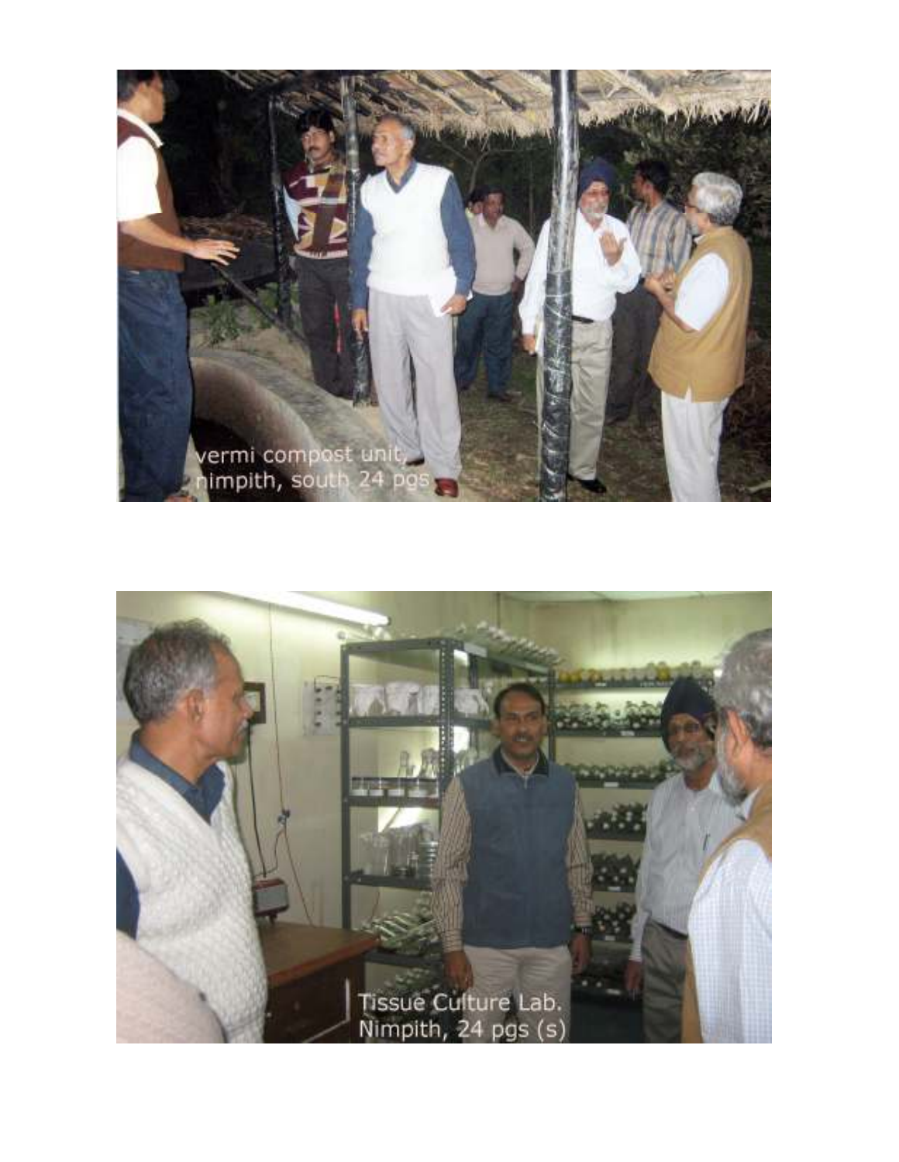

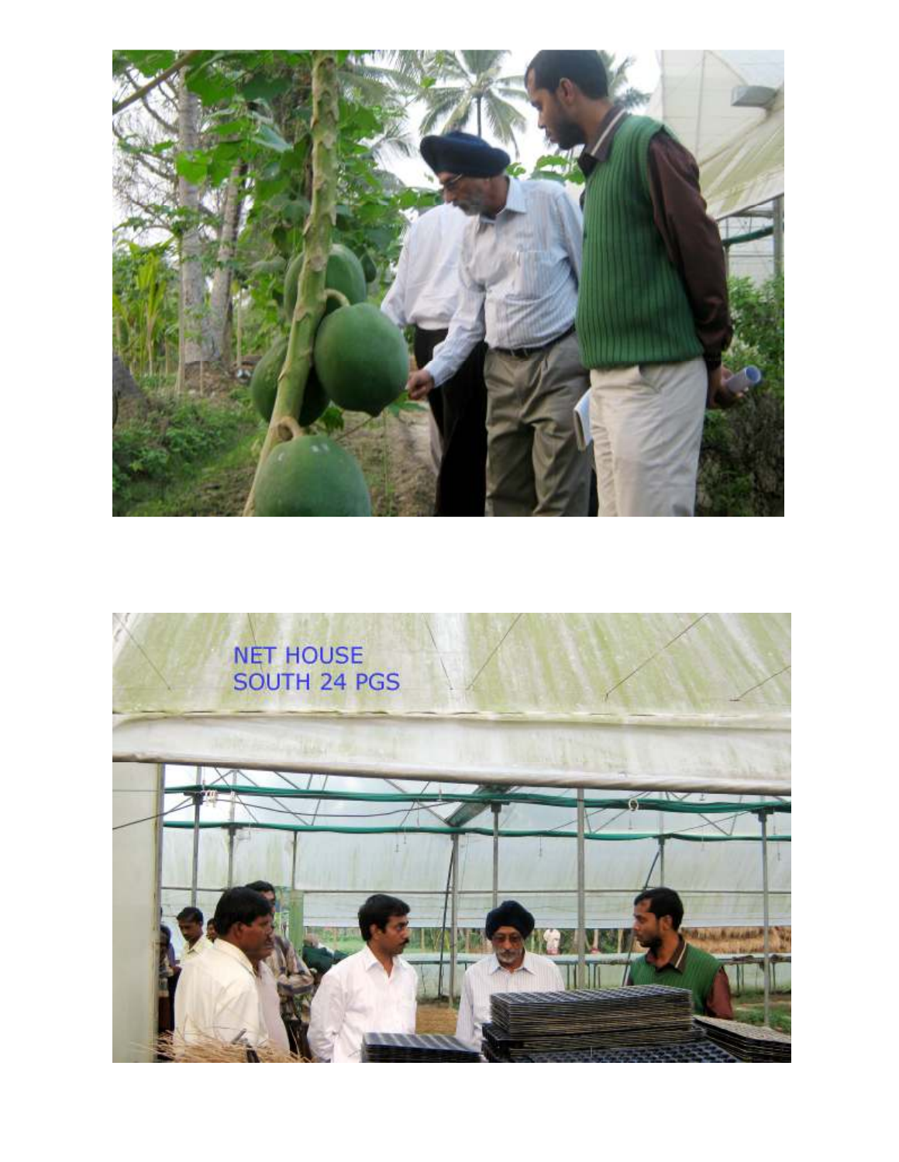

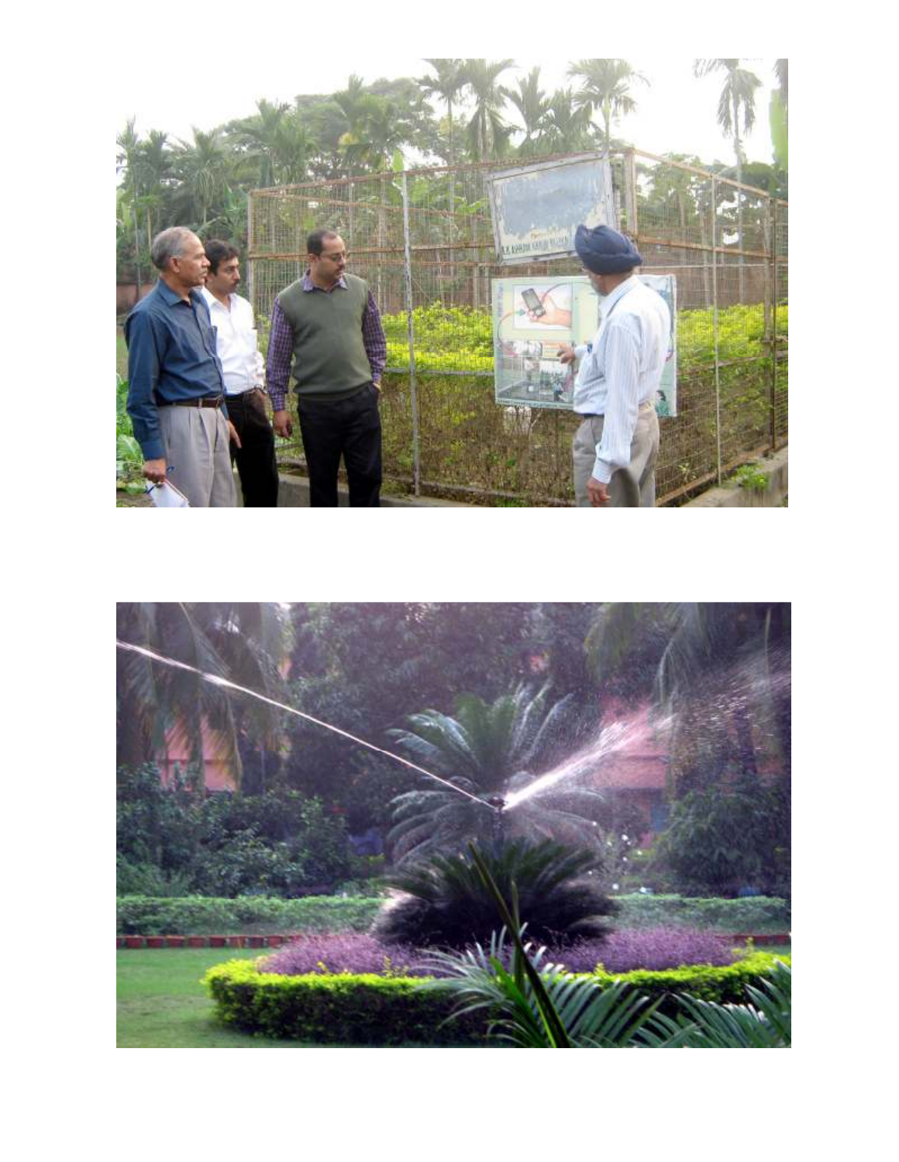

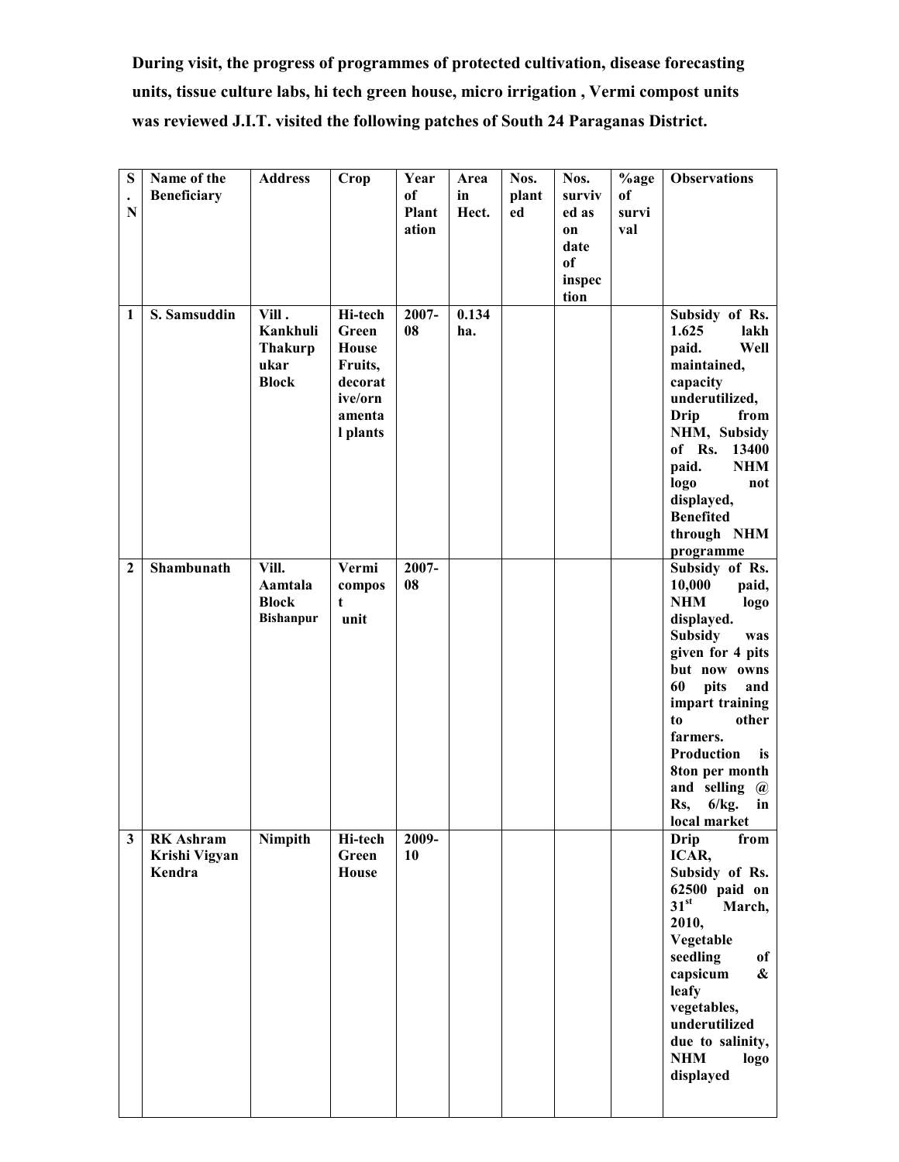During visit, the progress of programmes of protected cultivation, disease forecasting units, tissue culture labs, hi tech green house, micro irrigation , Vermi compost units was reviewed J.I.T. visited the following patches of South 24 Paraganas District.

| of<br><b>Beneficiary</b><br>in<br>of<br>plant<br>surviv<br><b>Plant</b><br>N<br>Hect.<br>ed<br>ed as<br>survi<br>ation<br>val<br>on<br>date<br><sub>of</sub><br>inspec<br>tion<br>Vill.<br>0.134<br>S. Samsuddin<br>Hi-tech<br>2007-<br>Subsidy of Rs.<br>$\mathbf{1}$<br>Kankhuli<br>Green<br>08<br>1.625<br>lakh<br>ha.<br>Well<br><b>Thakurp</b><br>paid.<br>House<br>ukar<br>Fruits,<br>maintained,<br><b>Block</b><br>decorat<br>capacity<br>ive/orn<br>underutilized,<br><b>Drip</b><br>from<br>amenta<br>NHM, Subsidy<br>l plants<br>of Rs.<br>13400<br>paid.<br><b>NHM</b><br>logo<br>not<br>displayed,<br><b>Benefited</b><br>through NHM<br>programme<br>Shambunath<br>Vermi<br>2007-<br>Vill.<br>Subsidy of Rs.<br>$\mathbf{2}$<br>Aamtala<br>08<br>10,000<br>compos<br>paid,<br><b>Block</b><br><b>NHM</b><br>logo<br>t<br><b>Bishanpur</b><br>unit<br>displayed.<br><b>Subsidy</b><br>was<br>given for 4 pits<br>but now owns<br>60<br>pits<br>and<br>impart training<br>to<br>other<br>farmers.<br>Production<br>is<br>8ton per month<br>and selling<br>$\left(\widehat{\boldsymbol{a}}\right)$<br>Rs,<br>6/kg.<br>in<br>local market<br><b>RK</b> Ashram<br>Nimpith<br>2009-<br>Drip<br>from<br>3<br>Hi-tech<br>ICAR,<br>Krishi Vigyan<br>Green<br>10<br>Subsidy of Rs.<br>Kendra<br>House<br>62500 paid on<br>$31^{st}$<br>March,<br>2010,<br>Vegetable<br>seedling<br><sub>of</sub><br>capsicum<br>&<br>leafy<br>vegetables,<br>underutilized<br>due to salinity,<br><b>NHM</b><br>logo<br>displayed | S | Name of the | <b>Address</b> | Crop | Year | Area | Nos. | Nos. | $%$ age | <b>Observations</b> |
|-----------------------------------------------------------------------------------------------------------------------------------------------------------------------------------------------------------------------------------------------------------------------------------------------------------------------------------------------------------------------------------------------------------------------------------------------------------------------------------------------------------------------------------------------------------------------------------------------------------------------------------------------------------------------------------------------------------------------------------------------------------------------------------------------------------------------------------------------------------------------------------------------------------------------------------------------------------------------------------------------------------------------------------------------------------------------------------------------------------------------------------------------------------------------------------------------------------------------------------------------------------------------------------------------------------------------------------------------------------------------------------------------------------------------------------------------------------------------------------------------------------------------|---|-------------|----------------|------|------|------|------|------|---------|---------------------|
|                                                                                                                                                                                                                                                                                                                                                                                                                                                                                                                                                                                                                                                                                                                                                                                                                                                                                                                                                                                                                                                                                                                                                                                                                                                                                                                                                                                                                                                                                                                       |   |             |                |      |      |      |      |      |         |                     |
|                                                                                                                                                                                                                                                                                                                                                                                                                                                                                                                                                                                                                                                                                                                                                                                                                                                                                                                                                                                                                                                                                                                                                                                                                                                                                                                                                                                                                                                                                                                       |   |             |                |      |      |      |      |      |         |                     |
|                                                                                                                                                                                                                                                                                                                                                                                                                                                                                                                                                                                                                                                                                                                                                                                                                                                                                                                                                                                                                                                                                                                                                                                                                                                                                                                                                                                                                                                                                                                       |   |             |                |      |      |      |      |      |         |                     |
|                                                                                                                                                                                                                                                                                                                                                                                                                                                                                                                                                                                                                                                                                                                                                                                                                                                                                                                                                                                                                                                                                                                                                                                                                                                                                                                                                                                                                                                                                                                       |   |             |                |      |      |      |      |      |         |                     |
|                                                                                                                                                                                                                                                                                                                                                                                                                                                                                                                                                                                                                                                                                                                                                                                                                                                                                                                                                                                                                                                                                                                                                                                                                                                                                                                                                                                                                                                                                                                       |   |             |                |      |      |      |      |      |         |                     |
|                                                                                                                                                                                                                                                                                                                                                                                                                                                                                                                                                                                                                                                                                                                                                                                                                                                                                                                                                                                                                                                                                                                                                                                                                                                                                                                                                                                                                                                                                                                       |   |             |                |      |      |      |      |      |         |                     |
|                                                                                                                                                                                                                                                                                                                                                                                                                                                                                                                                                                                                                                                                                                                                                                                                                                                                                                                                                                                                                                                                                                                                                                                                                                                                                                                                                                                                                                                                                                                       |   |             |                |      |      |      |      |      |         |                     |
|                                                                                                                                                                                                                                                                                                                                                                                                                                                                                                                                                                                                                                                                                                                                                                                                                                                                                                                                                                                                                                                                                                                                                                                                                                                                                                                                                                                                                                                                                                                       |   |             |                |      |      |      |      |      |         |                     |
|                                                                                                                                                                                                                                                                                                                                                                                                                                                                                                                                                                                                                                                                                                                                                                                                                                                                                                                                                                                                                                                                                                                                                                                                                                                                                                                                                                                                                                                                                                                       |   |             |                |      |      |      |      |      |         |                     |
|                                                                                                                                                                                                                                                                                                                                                                                                                                                                                                                                                                                                                                                                                                                                                                                                                                                                                                                                                                                                                                                                                                                                                                                                                                                                                                                                                                                                                                                                                                                       |   |             |                |      |      |      |      |      |         |                     |
|                                                                                                                                                                                                                                                                                                                                                                                                                                                                                                                                                                                                                                                                                                                                                                                                                                                                                                                                                                                                                                                                                                                                                                                                                                                                                                                                                                                                                                                                                                                       |   |             |                |      |      |      |      |      |         |                     |
|                                                                                                                                                                                                                                                                                                                                                                                                                                                                                                                                                                                                                                                                                                                                                                                                                                                                                                                                                                                                                                                                                                                                                                                                                                                                                                                                                                                                                                                                                                                       |   |             |                |      |      |      |      |      |         |                     |
|                                                                                                                                                                                                                                                                                                                                                                                                                                                                                                                                                                                                                                                                                                                                                                                                                                                                                                                                                                                                                                                                                                                                                                                                                                                                                                                                                                                                                                                                                                                       |   |             |                |      |      |      |      |      |         |                     |
|                                                                                                                                                                                                                                                                                                                                                                                                                                                                                                                                                                                                                                                                                                                                                                                                                                                                                                                                                                                                                                                                                                                                                                                                                                                                                                                                                                                                                                                                                                                       |   |             |                |      |      |      |      |      |         |                     |
|                                                                                                                                                                                                                                                                                                                                                                                                                                                                                                                                                                                                                                                                                                                                                                                                                                                                                                                                                                                                                                                                                                                                                                                                                                                                                                                                                                                                                                                                                                                       |   |             |                |      |      |      |      |      |         |                     |
|                                                                                                                                                                                                                                                                                                                                                                                                                                                                                                                                                                                                                                                                                                                                                                                                                                                                                                                                                                                                                                                                                                                                                                                                                                                                                                                                                                                                                                                                                                                       |   |             |                |      |      |      |      |      |         |                     |
|                                                                                                                                                                                                                                                                                                                                                                                                                                                                                                                                                                                                                                                                                                                                                                                                                                                                                                                                                                                                                                                                                                                                                                                                                                                                                                                                                                                                                                                                                                                       |   |             |                |      |      |      |      |      |         |                     |
|                                                                                                                                                                                                                                                                                                                                                                                                                                                                                                                                                                                                                                                                                                                                                                                                                                                                                                                                                                                                                                                                                                                                                                                                                                                                                                                                                                                                                                                                                                                       |   |             |                |      |      |      |      |      |         |                     |
|                                                                                                                                                                                                                                                                                                                                                                                                                                                                                                                                                                                                                                                                                                                                                                                                                                                                                                                                                                                                                                                                                                                                                                                                                                                                                                                                                                                                                                                                                                                       |   |             |                |      |      |      |      |      |         |                     |
|                                                                                                                                                                                                                                                                                                                                                                                                                                                                                                                                                                                                                                                                                                                                                                                                                                                                                                                                                                                                                                                                                                                                                                                                                                                                                                                                                                                                                                                                                                                       |   |             |                |      |      |      |      |      |         |                     |
|                                                                                                                                                                                                                                                                                                                                                                                                                                                                                                                                                                                                                                                                                                                                                                                                                                                                                                                                                                                                                                                                                                                                                                                                                                                                                                                                                                                                                                                                                                                       |   |             |                |      |      |      |      |      |         |                     |
|                                                                                                                                                                                                                                                                                                                                                                                                                                                                                                                                                                                                                                                                                                                                                                                                                                                                                                                                                                                                                                                                                                                                                                                                                                                                                                                                                                                                                                                                                                                       |   |             |                |      |      |      |      |      |         |                     |
|                                                                                                                                                                                                                                                                                                                                                                                                                                                                                                                                                                                                                                                                                                                                                                                                                                                                                                                                                                                                                                                                                                                                                                                                                                                                                                                                                                                                                                                                                                                       |   |             |                |      |      |      |      |      |         |                     |
|                                                                                                                                                                                                                                                                                                                                                                                                                                                                                                                                                                                                                                                                                                                                                                                                                                                                                                                                                                                                                                                                                                                                                                                                                                                                                                                                                                                                                                                                                                                       |   |             |                |      |      |      |      |      |         |                     |
|                                                                                                                                                                                                                                                                                                                                                                                                                                                                                                                                                                                                                                                                                                                                                                                                                                                                                                                                                                                                                                                                                                                                                                                                                                                                                                                                                                                                                                                                                                                       |   |             |                |      |      |      |      |      |         |                     |
|                                                                                                                                                                                                                                                                                                                                                                                                                                                                                                                                                                                                                                                                                                                                                                                                                                                                                                                                                                                                                                                                                                                                                                                                                                                                                                                                                                                                                                                                                                                       |   |             |                |      |      |      |      |      |         |                     |
|                                                                                                                                                                                                                                                                                                                                                                                                                                                                                                                                                                                                                                                                                                                                                                                                                                                                                                                                                                                                                                                                                                                                                                                                                                                                                                                                                                                                                                                                                                                       |   |             |                |      |      |      |      |      |         |                     |
|                                                                                                                                                                                                                                                                                                                                                                                                                                                                                                                                                                                                                                                                                                                                                                                                                                                                                                                                                                                                                                                                                                                                                                                                                                                                                                                                                                                                                                                                                                                       |   |             |                |      |      |      |      |      |         |                     |
|                                                                                                                                                                                                                                                                                                                                                                                                                                                                                                                                                                                                                                                                                                                                                                                                                                                                                                                                                                                                                                                                                                                                                                                                                                                                                                                                                                                                                                                                                                                       |   |             |                |      |      |      |      |      |         |                     |
|                                                                                                                                                                                                                                                                                                                                                                                                                                                                                                                                                                                                                                                                                                                                                                                                                                                                                                                                                                                                                                                                                                                                                                                                                                                                                                                                                                                                                                                                                                                       |   |             |                |      |      |      |      |      |         |                     |
|                                                                                                                                                                                                                                                                                                                                                                                                                                                                                                                                                                                                                                                                                                                                                                                                                                                                                                                                                                                                                                                                                                                                                                                                                                                                                                                                                                                                                                                                                                                       |   |             |                |      |      |      |      |      |         |                     |
|                                                                                                                                                                                                                                                                                                                                                                                                                                                                                                                                                                                                                                                                                                                                                                                                                                                                                                                                                                                                                                                                                                                                                                                                                                                                                                                                                                                                                                                                                                                       |   |             |                |      |      |      |      |      |         |                     |
|                                                                                                                                                                                                                                                                                                                                                                                                                                                                                                                                                                                                                                                                                                                                                                                                                                                                                                                                                                                                                                                                                                                                                                                                                                                                                                                                                                                                                                                                                                                       |   |             |                |      |      |      |      |      |         |                     |
|                                                                                                                                                                                                                                                                                                                                                                                                                                                                                                                                                                                                                                                                                                                                                                                                                                                                                                                                                                                                                                                                                                                                                                                                                                                                                                                                                                                                                                                                                                                       |   |             |                |      |      |      |      |      |         |                     |
|                                                                                                                                                                                                                                                                                                                                                                                                                                                                                                                                                                                                                                                                                                                                                                                                                                                                                                                                                                                                                                                                                                                                                                                                                                                                                                                                                                                                                                                                                                                       |   |             |                |      |      |      |      |      |         |                     |
|                                                                                                                                                                                                                                                                                                                                                                                                                                                                                                                                                                                                                                                                                                                                                                                                                                                                                                                                                                                                                                                                                                                                                                                                                                                                                                                                                                                                                                                                                                                       |   |             |                |      |      |      |      |      |         |                     |
|                                                                                                                                                                                                                                                                                                                                                                                                                                                                                                                                                                                                                                                                                                                                                                                                                                                                                                                                                                                                                                                                                                                                                                                                                                                                                                                                                                                                                                                                                                                       |   |             |                |      |      |      |      |      |         |                     |
|                                                                                                                                                                                                                                                                                                                                                                                                                                                                                                                                                                                                                                                                                                                                                                                                                                                                                                                                                                                                                                                                                                                                                                                                                                                                                                                                                                                                                                                                                                                       |   |             |                |      |      |      |      |      |         |                     |
|                                                                                                                                                                                                                                                                                                                                                                                                                                                                                                                                                                                                                                                                                                                                                                                                                                                                                                                                                                                                                                                                                                                                                                                                                                                                                                                                                                                                                                                                                                                       |   |             |                |      |      |      |      |      |         |                     |
|                                                                                                                                                                                                                                                                                                                                                                                                                                                                                                                                                                                                                                                                                                                                                                                                                                                                                                                                                                                                                                                                                                                                                                                                                                                                                                                                                                                                                                                                                                                       |   |             |                |      |      |      |      |      |         |                     |
|                                                                                                                                                                                                                                                                                                                                                                                                                                                                                                                                                                                                                                                                                                                                                                                                                                                                                                                                                                                                                                                                                                                                                                                                                                                                                                                                                                                                                                                                                                                       |   |             |                |      |      |      |      |      |         |                     |
|                                                                                                                                                                                                                                                                                                                                                                                                                                                                                                                                                                                                                                                                                                                                                                                                                                                                                                                                                                                                                                                                                                                                                                                                                                                                                                                                                                                                                                                                                                                       |   |             |                |      |      |      |      |      |         |                     |
|                                                                                                                                                                                                                                                                                                                                                                                                                                                                                                                                                                                                                                                                                                                                                                                                                                                                                                                                                                                                                                                                                                                                                                                                                                                                                                                                                                                                                                                                                                                       |   |             |                |      |      |      |      |      |         |                     |
|                                                                                                                                                                                                                                                                                                                                                                                                                                                                                                                                                                                                                                                                                                                                                                                                                                                                                                                                                                                                                                                                                                                                                                                                                                                                                                                                                                                                                                                                                                                       |   |             |                |      |      |      |      |      |         |                     |
|                                                                                                                                                                                                                                                                                                                                                                                                                                                                                                                                                                                                                                                                                                                                                                                                                                                                                                                                                                                                                                                                                                                                                                                                                                                                                                                                                                                                                                                                                                                       |   |             |                |      |      |      |      |      |         |                     |
|                                                                                                                                                                                                                                                                                                                                                                                                                                                                                                                                                                                                                                                                                                                                                                                                                                                                                                                                                                                                                                                                                                                                                                                                                                                                                                                                                                                                                                                                                                                       |   |             |                |      |      |      |      |      |         |                     |
|                                                                                                                                                                                                                                                                                                                                                                                                                                                                                                                                                                                                                                                                                                                                                                                                                                                                                                                                                                                                                                                                                                                                                                                                                                                                                                                                                                                                                                                                                                                       |   |             |                |      |      |      |      |      |         |                     |
|                                                                                                                                                                                                                                                                                                                                                                                                                                                                                                                                                                                                                                                                                                                                                                                                                                                                                                                                                                                                                                                                                                                                                                                                                                                                                                                                                                                                                                                                                                                       |   |             |                |      |      |      |      |      |         |                     |
|                                                                                                                                                                                                                                                                                                                                                                                                                                                                                                                                                                                                                                                                                                                                                                                                                                                                                                                                                                                                                                                                                                                                                                                                                                                                                                                                                                                                                                                                                                                       |   |             |                |      |      |      |      |      |         |                     |
|                                                                                                                                                                                                                                                                                                                                                                                                                                                                                                                                                                                                                                                                                                                                                                                                                                                                                                                                                                                                                                                                                                                                                                                                                                                                                                                                                                                                                                                                                                                       |   |             |                |      |      |      |      |      |         |                     |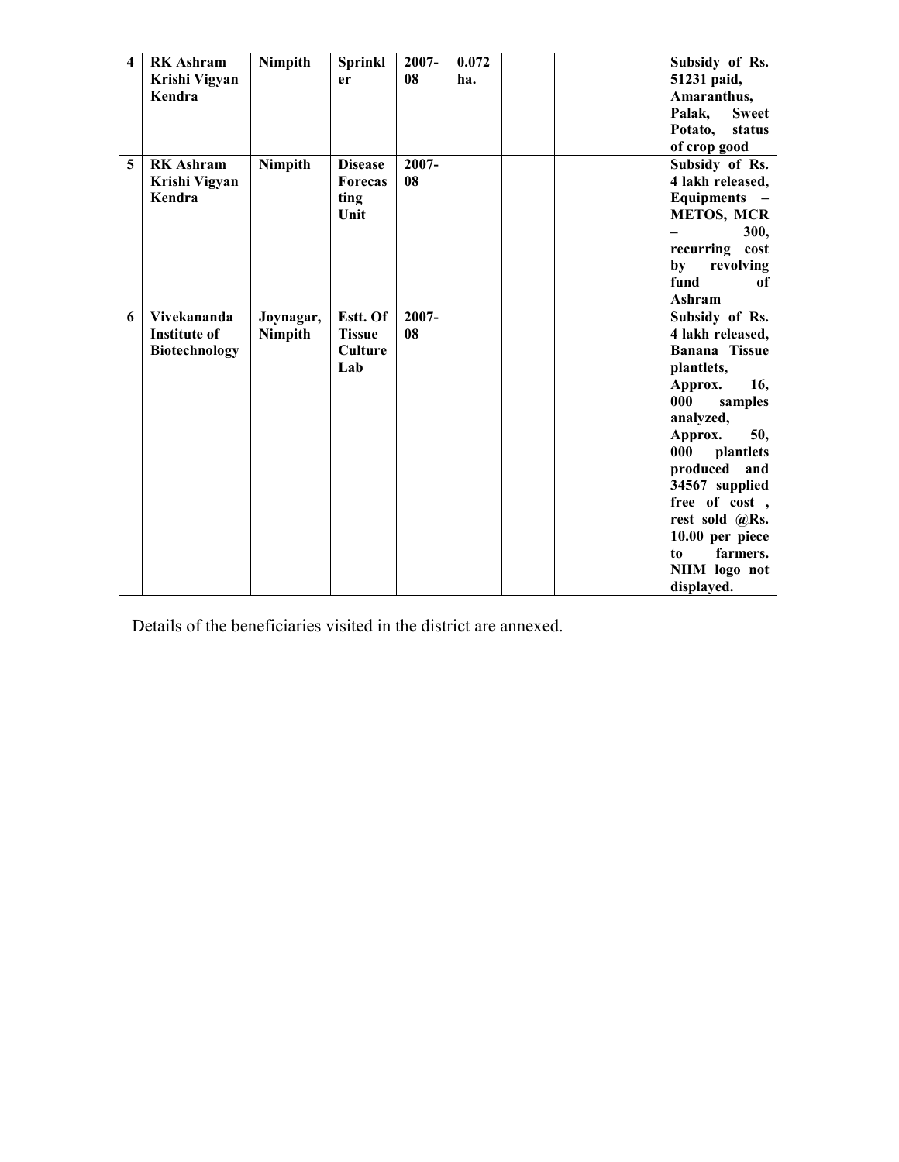| $\overline{\mathbf{4}}$ | <b>RK</b> Ashram<br>Krishi Vigyan<br>Kendra                | Nimpith              | <b>Sprinkl</b><br>er                               | 2007-<br>08 | 0.072<br>ha. |  | Subsidy of Rs.<br>51231 paid,<br>Amaranthus,<br>Palak,<br><b>Sweet</b><br>Potato,<br>status<br>of crop good                                                                                                                                                                                               |
|-------------------------|------------------------------------------------------------|----------------------|----------------------------------------------------|-------------|--------------|--|-----------------------------------------------------------------------------------------------------------------------------------------------------------------------------------------------------------------------------------------------------------------------------------------------------------|
| 5                       | <b>RK</b> Ashram<br>Krishi Vigyan<br>Kendra                | Nimpith              | <b>Disease</b><br><b>Forecas</b><br>ting<br>Unit   | 2007-<br>08 |              |  | Subsidy of Rs.<br>4 lakh released,<br>Equipments<br><b>METOS, MCR</b><br>300,<br>recurring cost<br>by<br>revolving<br>fund<br>of<br>Ashram                                                                                                                                                                |
| 6                       | Vivekananda<br><b>Institute of</b><br><b>Biotechnology</b> | Joynagar,<br>Nimpith | Estt. Of<br><b>Tissue</b><br><b>Culture</b><br>Lab | 2007-<br>08 |              |  | Subsidy of Rs.<br>4 lakh released,<br><b>Banana Tissue</b><br>plantlets,<br>Approx.<br>16,<br>000<br>samples<br>analyzed,<br>50,<br>Approx.<br>000<br>plantlets<br>produced and<br>34567 supplied<br>free of cost,<br>rest sold $@Rs.$<br>10.00 per piece<br>farmers.<br>to<br>NHM logo not<br>displayed. |

Details of the beneficiaries visited in the district are annexed.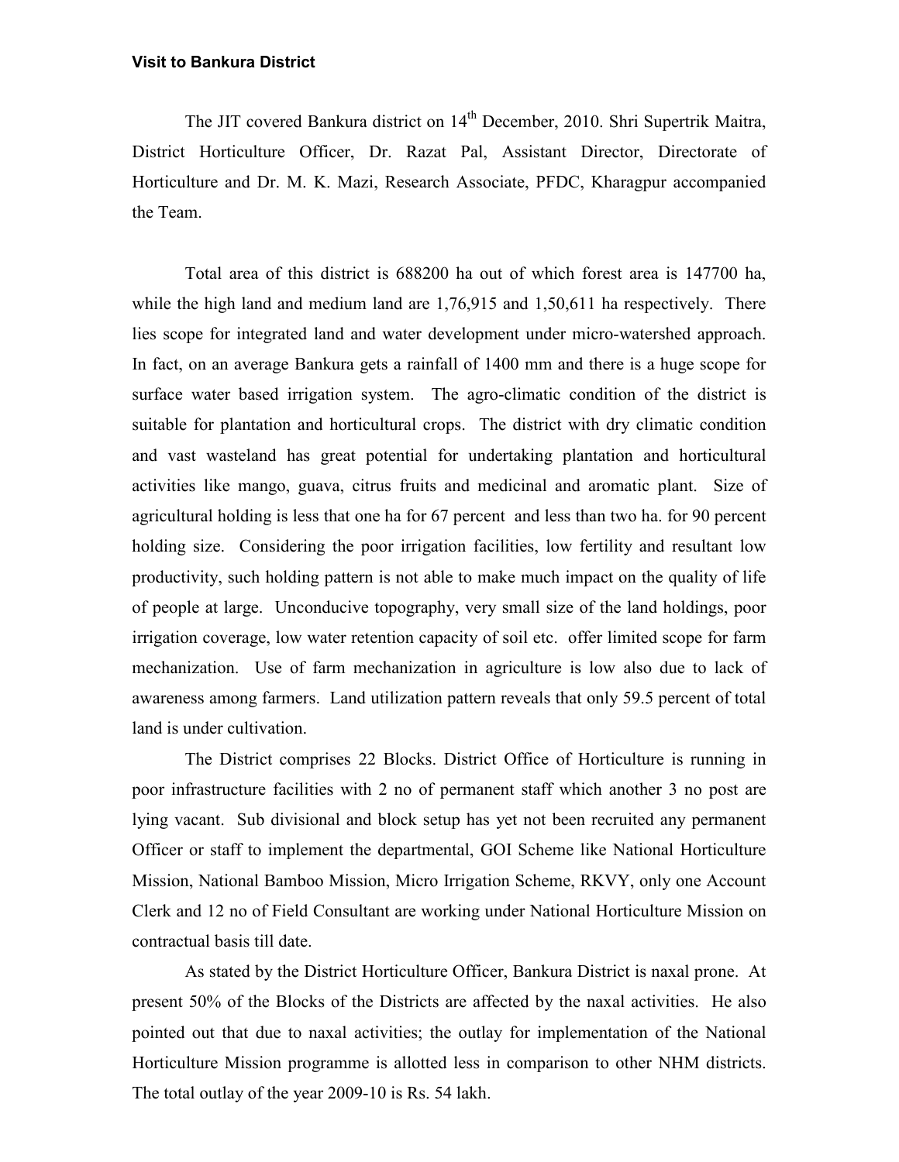#### Visit to Bankura District

The JIT covered Bankura district on 14<sup>th</sup> December, 2010. Shri Supertrik Maitra, District Horticulture Officer, Dr. Razat Pal, Assistant Director, Directorate of Horticulture and Dr. M. K. Mazi, Research Associate, PFDC, Kharagpur accompanied the Team.

Total area of this district is 688200 ha out of which forest area is 147700 ha, while the high land and medium land are 1,76,915 and 1,50,611 ha respectively. There lies scope for integrated land and water development under micro-watershed approach. In fact, on an average Bankura gets a rainfall of 1400 mm and there is a huge scope for surface water based irrigation system. The agro-climatic condition of the district is suitable for plantation and horticultural crops. The district with dry climatic condition and vast wasteland has great potential for undertaking plantation and horticultural activities like mango, guava, citrus fruits and medicinal and aromatic plant. Size of agricultural holding is less that one ha for 67 percent and less than two ha. for 90 percent holding size. Considering the poor irrigation facilities, low fertility and resultant low productivity, such holding pattern is not able to make much impact on the quality of life of people at large. Unconducive topography, very small size of the land holdings, poor irrigation coverage, low water retention capacity of soil etc. offer limited scope for farm mechanization. Use of farm mechanization in agriculture is low also due to lack of awareness among farmers. Land utilization pattern reveals that only 59.5 percent of total land is under cultivation.

 The District comprises 22 Blocks. District Office of Horticulture is running in poor infrastructure facilities with 2 no of permanent staff which another 3 no post are lying vacant. Sub divisional and block setup has yet not been recruited any permanent Officer or staff to implement the departmental, GOI Scheme like National Horticulture Mission, National Bamboo Mission, Micro Irrigation Scheme, RKVY, only one Account Clerk and 12 no of Field Consultant are working under National Horticulture Mission on contractual basis till date.

 As stated by the District Horticulture Officer, Bankura District is naxal prone. At present 50% of the Blocks of the Districts are affected by the naxal activities. He also pointed out that due to naxal activities; the outlay for implementation of the National Horticulture Mission programme is allotted less in comparison to other NHM districts. The total outlay of the year 2009-10 is Rs. 54 lakh.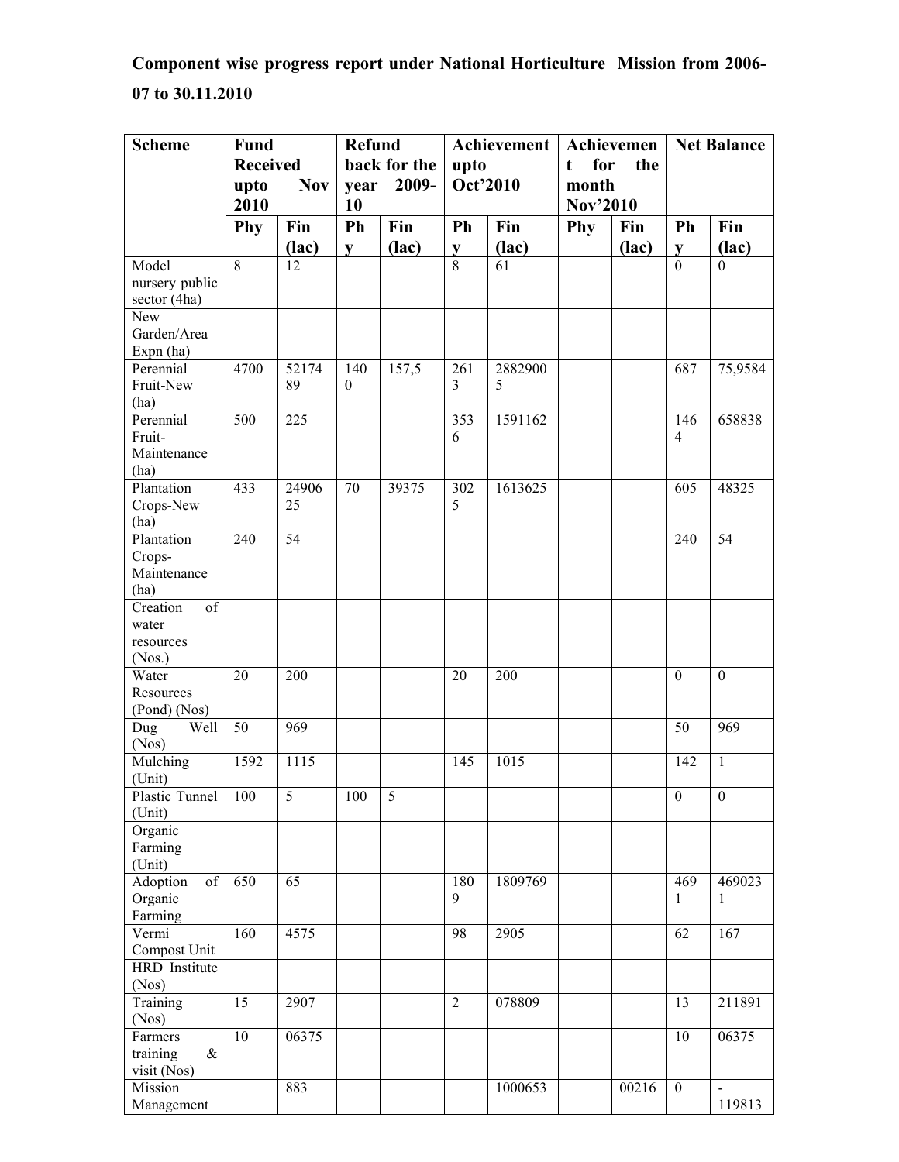## Component wise progress report under National Horticulture Mission from 2006- 07 to 30.11.2010

| <b>Scheme</b>               | Fund            |            | <b>Refund</b> |              |                             | Achievement |                    | Achievemen        |                  | <b>Net Balance</b> |
|-----------------------------|-----------------|------------|---------------|--------------|-----------------------------|-------------|--------------------|-------------------|------------------|--------------------|
|                             | <b>Received</b> |            |               | back for the | upto                        |             | for<br>$\mathbf t$ | the               |                  |                    |
|                             | upto            | <b>Nov</b> | year          | 2009-        |                             | Oct'2010    | month              |                   |                  |                    |
|                             | 2010            |            | 10            |              |                             |             | Nov'2010           |                   |                  |                    |
|                             | Phy             | Fin        | Ph            | Fin          | Ph                          | Fin         | <b>Phy</b>         | Fin               | Ph               | Fin                |
|                             |                 | (lac)      | y             | (lac)        |                             | (lac)       |                    | (a <sub>c</sub> ) |                  | (lac)              |
| Model                       | $\overline{8}$  | 12         |               |              | ${\bf y}$<br>$\overline{8}$ | 61          |                    |                   | y<br>$\Omega$    | $\Omega$           |
| nursery public              |                 |            |               |              |                             |             |                    |                   |                  |                    |
| sector (4ha)                |                 |            |               |              |                             |             |                    |                   |                  |                    |
| New                         |                 |            |               |              |                             |             |                    |                   |                  |                    |
| Garden/Area                 |                 |            |               |              |                             |             |                    |                   |                  |                    |
| Expn (ha)                   |                 |            |               |              |                             |             |                    |                   |                  |                    |
| Perennial                   | 4700            | 52174      | 140           | 157,5        | 261                         | 2882900     |                    |                   | 687              | 75,9584            |
| Fruit-New                   |                 | 89         | $\mathbf{0}$  |              | 3                           | 5           |                    |                   |                  |                    |
| (ha)                        |                 |            |               |              |                             |             |                    |                   |                  |                    |
| Perennial                   | 500             | 225        |               |              | 353                         | 1591162     |                    |                   | 146              | 658838             |
| Fruit-                      |                 |            |               |              | 6                           |             |                    |                   | $\overline{4}$   |                    |
| Maintenance                 |                 |            |               |              |                             |             |                    |                   |                  |                    |
| (ha)<br>Plantation          | 433             | 24906      | 70            | 39375        | 302                         | 1613625     |                    |                   | 605              | 48325              |
| Crops-New                   |                 | 25         |               |              | 5                           |             |                    |                   |                  |                    |
| (ha)                        |                 |            |               |              |                             |             |                    |                   |                  |                    |
| Plantation                  | 240             | 54         |               |              |                             |             |                    |                   | 240              | 54                 |
| Crops-                      |                 |            |               |              |                             |             |                    |                   |                  |                    |
| Maintenance                 |                 |            |               |              |                             |             |                    |                   |                  |                    |
| (ha)                        |                 |            |               |              |                             |             |                    |                   |                  |                    |
| Creation<br>of              |                 |            |               |              |                             |             |                    |                   |                  |                    |
| water                       |                 |            |               |              |                             |             |                    |                   |                  |                    |
| resources                   |                 |            |               |              |                             |             |                    |                   |                  |                    |
| (Nos.)                      |                 |            |               |              |                             |             |                    |                   |                  |                    |
| Water                       | 20              | 200        |               |              | 20                          | 200         |                    |                   | $\mathbf{0}$     | $\mathbf{0}$       |
| Resources                   |                 |            |               |              |                             |             |                    |                   |                  |                    |
| (Pond) (Nos)<br>Well<br>Dug | 50              | 969        |               |              |                             |             |                    |                   | 50               | 969                |
| (Nos)                       |                 |            |               |              |                             |             |                    |                   |                  |                    |
| Mulching                    | 1592            | 1115       |               |              | 145                         | 1015        |                    |                   | 142              | $\mathbf{1}$       |
| (Unit)                      |                 |            |               |              |                             |             |                    |                   |                  |                    |
| Plastic Tunnel              | 100             | 5          | 100           | 5            |                             |             |                    |                   | $\boldsymbol{0}$ | $\boldsymbol{0}$   |
| (Unit)                      |                 |            |               |              |                             |             |                    |                   |                  |                    |
| Organic                     |                 |            |               |              |                             |             |                    |                   |                  |                    |
| Farming                     |                 |            |               |              |                             |             |                    |                   |                  |                    |
| (Unit)                      |                 |            |               |              |                             |             |                    |                   |                  |                    |
| Adoption<br>of              | 650             | 65         |               |              | 180                         | 1809769     |                    |                   | 469              | 469023             |
| Organic                     |                 |            |               |              | 9                           |             |                    |                   | 1                | 1                  |
| Farming<br>Vermi            | 160             | 4575       |               |              | 98                          | 2905        |                    |                   | 62               | 167                |
| Compost Unit                |                 |            |               |              |                             |             |                    |                   |                  |                    |
| <b>HRD</b> Institute        |                 |            |               |              |                             |             |                    |                   |                  |                    |
| (Nos)                       |                 |            |               |              |                             |             |                    |                   |                  |                    |
| Training                    | $\overline{15}$ | 2907       |               |              | $\overline{2}$              | 078809      |                    |                   | 13               | 211891             |
| (Nos)                       |                 |            |               |              |                             |             |                    |                   |                  |                    |
| Farmers                     | 10              | 06375      |               |              |                             |             |                    |                   | 10               | 06375              |
| training<br>$\&$            |                 |            |               |              |                             |             |                    |                   |                  |                    |
| visit (Nos)                 |                 |            |               |              |                             |             |                    |                   |                  |                    |
| Mission                     |                 | 883        |               |              |                             | 1000653     |                    | 00216             | $\mathbf{0}$     |                    |
| Management                  |                 |            |               |              |                             |             |                    |                   |                  | 119813             |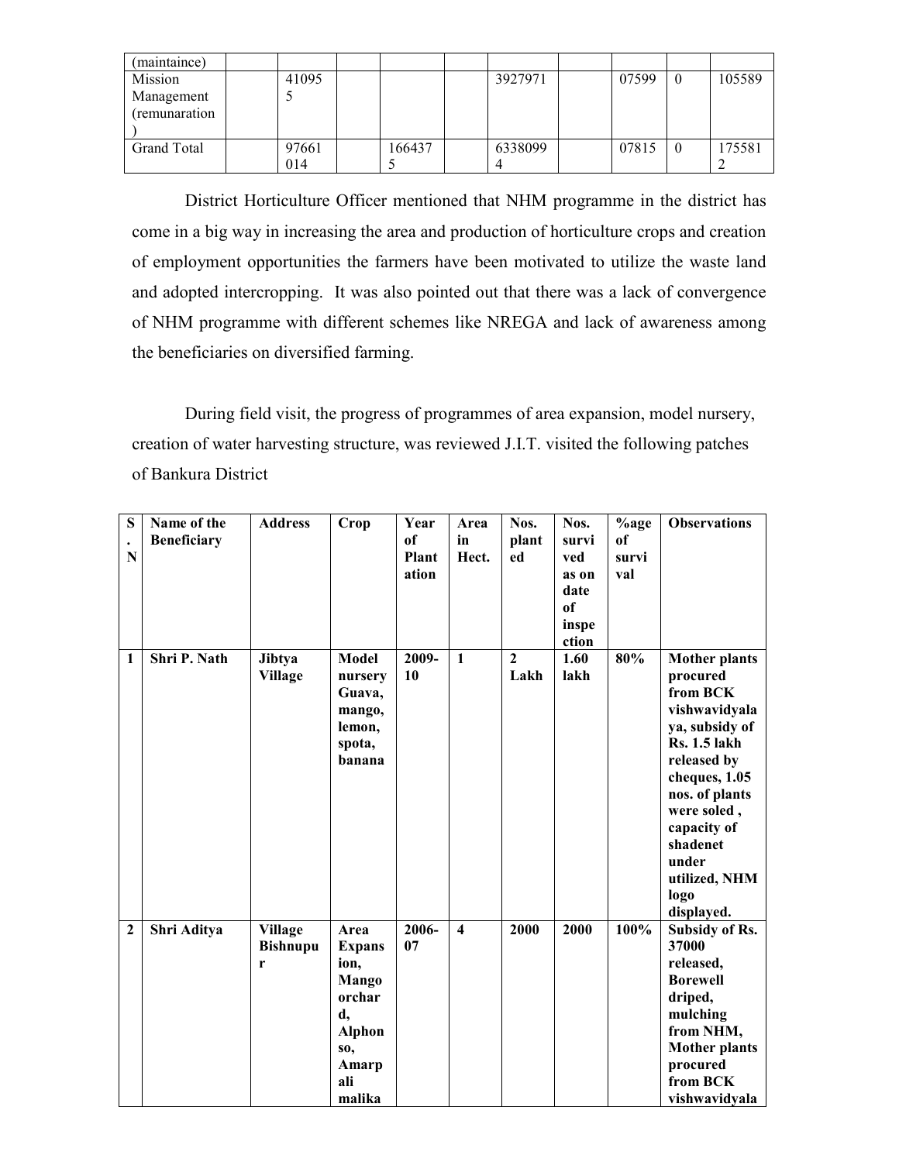| (maintaince)                 |       |        |         |       |          |        |
|------------------------------|-------|--------|---------|-------|----------|--------|
| Mission                      | 41095 |        | 3927971 | 07599 | $\bf{0}$ | 105589 |
| Management<br>(remunaration) |       |        |         |       |          |        |
| Grand Total                  | 97661 | 166437 | 6338099 | 07815 | $\bf{0}$ | 175581 |
|                              | 014   |        |         |       |          |        |

District Horticulture Officer mentioned that NHM programme in the district has come in a big way in increasing the area and production of horticulture crops and creation of employment opportunities the farmers have been motivated to utilize the waste land and adopted intercropping. It was also pointed out that there was a lack of convergence of NHM programme with different schemes like NREGA and lack of awareness among the beneficiaries on diversified farming.

During field visit, the progress of programmes of area expansion, model nursery, creation of water harvesting structure, was reviewed J.I.T. visited the following patches of Bankura District

| S<br>$\ddot{\phantom{0}}$<br>$\mathbf N$ | Name of the<br><b>Beneficiary</b> | <b>Address</b>                         | Crop                                                                                                     | Year<br>of<br>Plant<br>ation | Area<br>in<br>Hect.     | Nos.<br>plant<br>ed    | Nos.<br>survi<br>ved<br>as on<br>date<br>of<br>inspe<br>ction | %age<br>of<br>survi<br>val | <b>Observations</b>                                                                                                                                                                                                                                |
|------------------------------------------|-----------------------------------|----------------------------------------|----------------------------------------------------------------------------------------------------------|------------------------------|-------------------------|------------------------|---------------------------------------------------------------|----------------------------|----------------------------------------------------------------------------------------------------------------------------------------------------------------------------------------------------------------------------------------------------|
| 1                                        | Shri P. Nath                      | Jibtya<br><b>Village</b>               | <b>Model</b><br>nursery<br>Guava,<br>mango,<br>lemon,<br>spota,<br>banana                                | 2009-<br>10                  | $\mathbf{1}$            | $\overline{2}$<br>Lakh | 1.60<br>lakh                                                  | 80%                        | <b>Mother plants</b><br>procured<br>from BCK<br>vishwavidyala<br>ya, subsidy of<br><b>Rs. 1.5 lakh</b><br>released by<br>cheques, 1.05<br>nos. of plants<br>were soled,<br>capacity of<br>shadenet<br>under<br>utilized, NHM<br>logo<br>displayed. |
| $\overline{2}$                           | Shri Aditya                       | <b>Village</b><br><b>Bishnupu</b><br>r | Area<br><b>Expans</b><br>ion,<br>Mango<br>orchar<br>d,<br><b>Alphon</b><br>SO,<br>Amarp<br>ali<br>malika | 2006-<br>07                  | $\overline{\mathbf{4}}$ | 2000                   | 2000                                                          | 100%                       | Subsidy of Rs.<br>37000<br>released,<br><b>Borewell</b><br>driped,<br>mulching<br>from NHM,<br><b>Mother plants</b><br>procured<br>from BCK<br>vishwavidyala                                                                                       |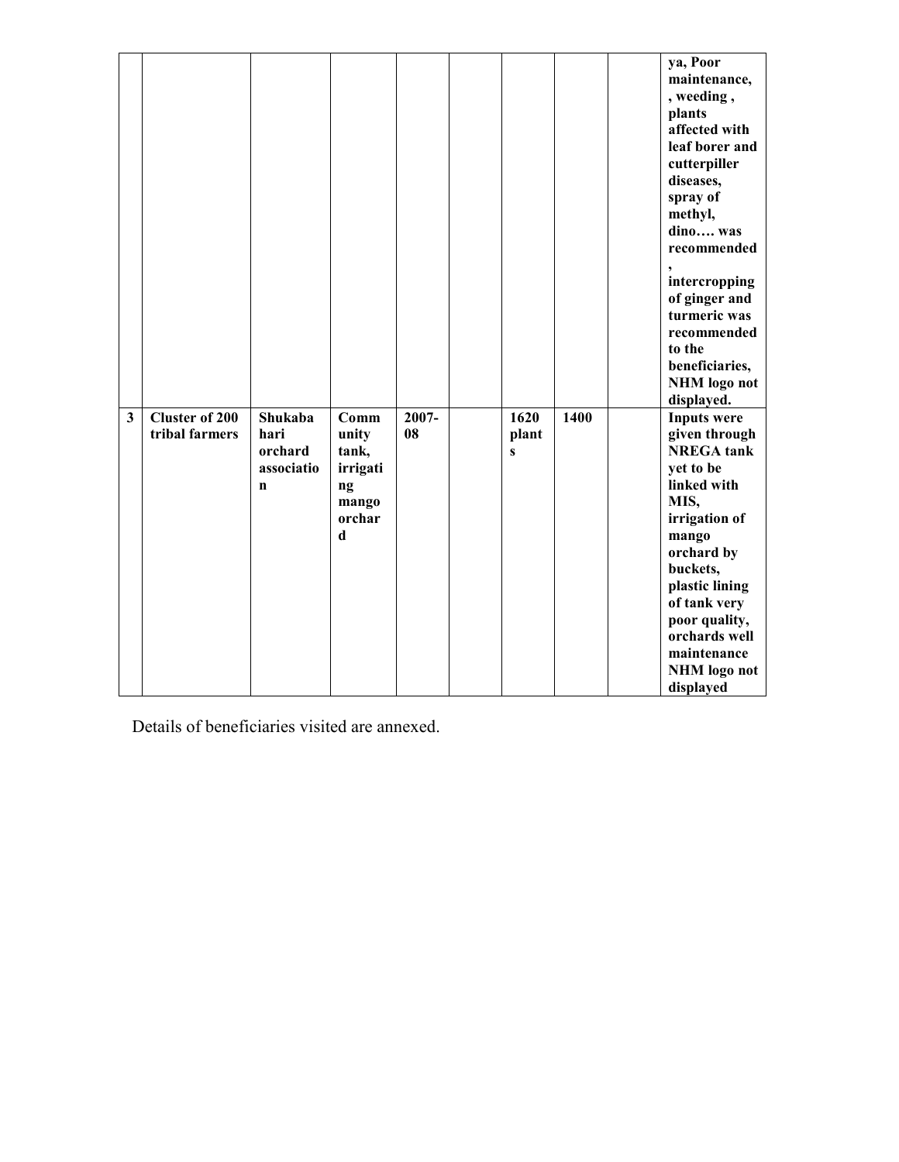|                         |                                         |                                                                |                                                                  |                |                           |             | ya, Poor<br>maintenance,<br>, weeding,<br>plants<br>affected with<br>leaf borer and<br>cutterpiller<br>diseases,<br>spray of<br>methyl,<br>dino was<br>recommended<br>intercropping<br>of ginger and<br>turmeric was<br>recommended<br>to the<br>beneficiaries,                                              |
|-------------------------|-----------------------------------------|----------------------------------------------------------------|------------------------------------------------------------------|----------------|---------------------------|-------------|--------------------------------------------------------------------------------------------------------------------------------------------------------------------------------------------------------------------------------------------------------------------------------------------------------------|
| $\overline{\mathbf{3}}$ | <b>Cluster of 200</b><br>tribal farmers | <b>Shukaba</b><br>hari<br>orchard<br>associatio<br>$\mathbf n$ | Comm<br>unity<br>tank,<br>irrigati<br>ng<br>mango<br>orchar<br>d | $2007 -$<br>08 | 1620<br>plant<br>$\bf{s}$ | <b>1400</b> | <b>NHM</b> logo not<br>displayed.<br><b>Inputs were</b><br>given through<br><b>NREGA</b> tank<br>yet to be<br>linked with<br>MIS,<br>irrigation of<br>mango<br>orchard by<br>buckets,<br>plastic lining<br>of tank very<br>poor quality,<br>orchards well<br>maintenance<br><b>NHM</b> logo not<br>displayed |

Details of beneficiaries visited are annexed.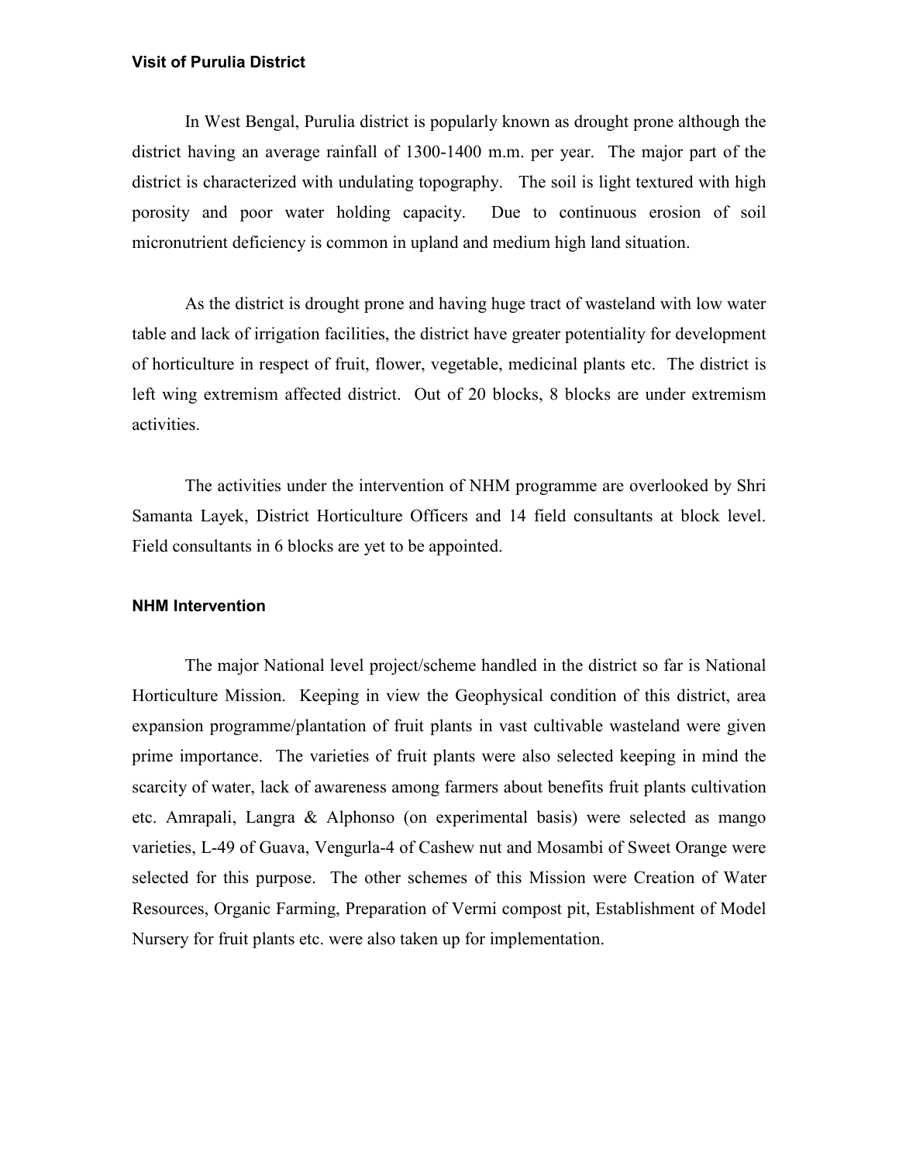#### Visit of Purulia District

In West Bengal, Purulia district is popularly known as drought prone although the district having an average rainfall of 1300-1400 m.m. per year. The major part of the district is characterized with undulating topography. The soil is light textured with high porosity and poor water holding capacity. Due to continuous erosion of soil micronutrient deficiency is common in upland and medium high land situation.

 As the district is drought prone and having huge tract of wasteland with low water table and lack of irrigation facilities, the district have greater potentiality for development of horticulture in respect of fruit, flower, vegetable, medicinal plants etc. The district is left wing extremism affected district. Out of 20 blocks, 8 blocks are under extremism activities.

 The activities under the intervention of NHM programme are overlooked by Shri Samanta Layek, District Horticulture Officers and 14 field consultants at block level. Field consultants in 6 blocks are yet to be appointed.

#### NHM Intervention

 The major National level project/scheme handled in the district so far is National Horticulture Mission. Keeping in view the Geophysical condition of this district, area expansion programme/plantation of fruit plants in vast cultivable wasteland were given prime importance. The varieties of fruit plants were also selected keeping in mind the scarcity of water, lack of awareness among farmers about benefits fruit plants cultivation etc. Amrapali, Langra & Alphonso (on experimental basis) were selected as mango varieties, L-49 of Guava, Vengurla-4 of Cashew nut and Mosambi of Sweet Orange were selected for this purpose. The other schemes of this Mission were Creation of Water Resources, Organic Farming, Preparation of Vermi compost pit, Establishment of Model Nursery for fruit plants etc. were also taken up for implementation.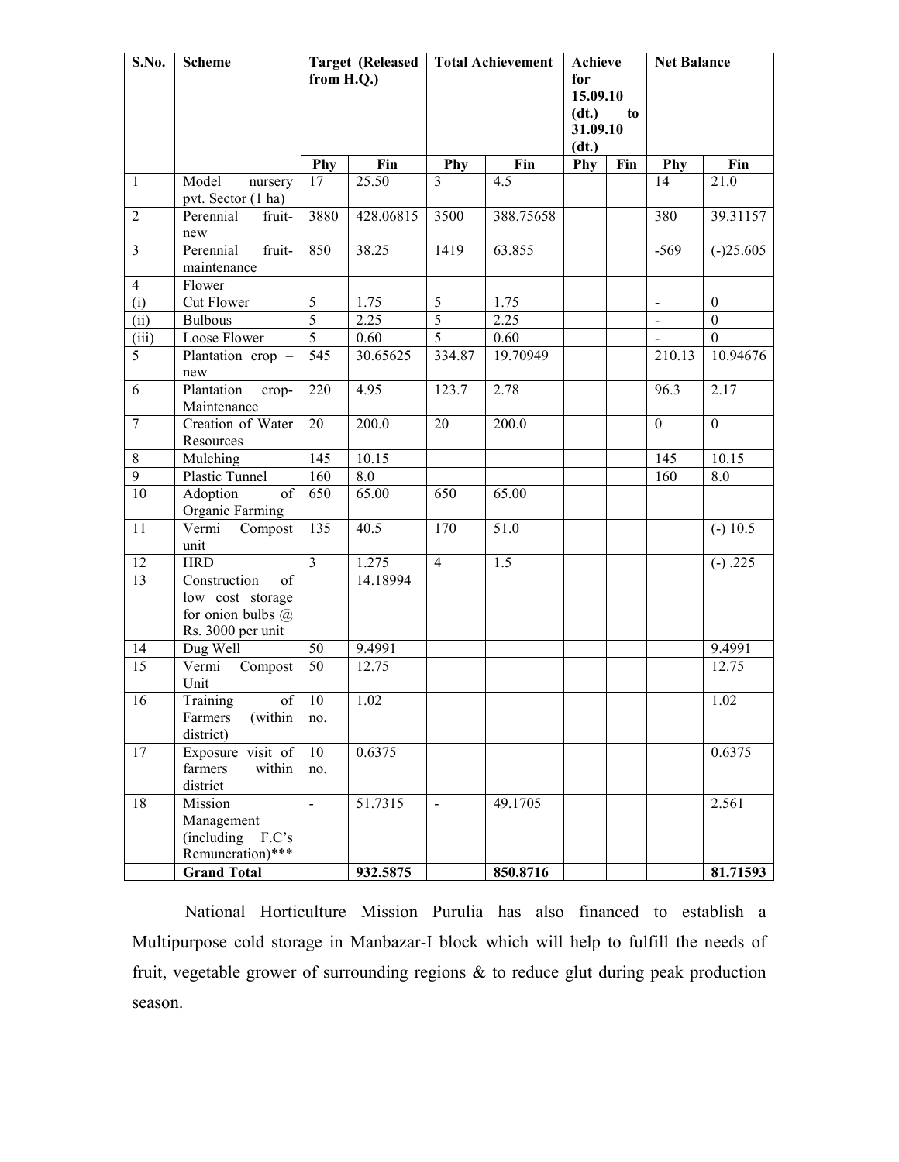| S.No.           | <b>Scheme</b>                                                                        |                                  | <b>Target (Released)</b><br>from H.Q.) |                  | <b>Total Achievement</b> | Achieve<br>for<br>15.09.10<br>(dt.)<br>to<br>31.09.10<br>(dt.) |     | <b>Net Balance</b> |                       |
|-----------------|--------------------------------------------------------------------------------------|----------------------------------|----------------------------------------|------------------|--------------------------|----------------------------------------------------------------|-----|--------------------|-----------------------|
|                 |                                                                                      | Phy                              | Fin                                    | Phy              | Fin                      | Phy                                                            | Fin | Phy                | Fin                   |
| $\mathbf{1}$    | Model<br>nursery<br>pvt. Sector (1 ha)                                               | 17                               | 25.50                                  | $\overline{3}$   | 4.5                      |                                                                |     | 14                 | 21.0                  |
| $\overline{2}$  | Perennial<br>fruit-<br>new                                                           | 3880                             | 428.06815                              | 3500             | 388.75658                |                                                                |     | 380                | 39.31157              |
| $\overline{3}$  | Perennial<br>fruit-<br>maintenance                                                   | 850                              | 38.25                                  | 1419             | 63.855                   |                                                                |     | $-569$             | $(-)25.605$           |
| $\overline{4}$  | Flower                                                                               |                                  |                                        |                  |                          |                                                                |     |                    |                       |
| (i)             | <b>Cut Flower</b>                                                                    | 5                                | 1.75                                   | 5                | 1.75                     |                                                                |     | $\blacksquare$     | $\boldsymbol{0}$      |
| (ii)            | <b>Bulbous</b>                                                                       | $\overline{5}$<br>$\overline{5}$ | 2.25                                   | $\overline{5}$   | 2.25                     |                                                                |     | $\blacksquare$     | $\mathbf{0}$          |
|                 | (iii)<br>Loose Flower                                                                |                                  | 0.60                                   | $\overline{5}$   | 0.60                     |                                                                |     |                    | $\mathbf{0}$          |
| 5               | Plantation crop -<br>new                                                             | 545                              | 30.65625                               | 334.87           | 19.70949                 |                                                                |     | 210.13             | 10.94676              |
| 6               | Plantation<br>crop-<br>Maintenance                                                   | 220                              | 4.95                                   | 123.7            | 2.78                     |                                                                |     | 96.3               | 2.17                  |
| $7\phantom{.0}$ | Creation of Water<br>Resources                                                       | 20                               | 200.0                                  | 20               | 200.0                    |                                                                |     | $\mathbf{0}$       | $\mathbf{0}$          |
| $8\,$           | Mulching                                                                             | 145                              | 10.15                                  |                  |                          |                                                                |     | 145                | 10.15                 |
| $\overline{9}$  | <b>Plastic Tunnel</b>                                                                | 160                              | 8.0                                    |                  |                          |                                                                |     | 160                | 8.0                   |
| 10              | Adoption<br>of<br>Organic Farming                                                    | 650                              | 65.00                                  | 650              | 65.00                    |                                                                |     |                    |                       |
| 11              | Vermi<br>Compost<br>unit                                                             | 135                              | 40.5                                   | $\overline{170}$ | $\overline{51.0}$        |                                                                |     |                    | $\overline{(-)}$ 10.5 |
| 12              | <b>HRD</b>                                                                           | $\overline{3}$                   | 1.275                                  | $\overline{4}$   | 1.5                      |                                                                |     |                    | $(-) .225$            |
| 13              | Construction<br>of<br>low cost storage<br>for onion bulbs $(a)$<br>Rs. 3000 per unit |                                  | 14.18994                               |                  |                          |                                                                |     |                    |                       |
| 14              | Dug Well                                                                             | 50                               | 9.4991                                 |                  |                          |                                                                |     |                    | 9.4991                |
| 15              | Vermi<br>Compost<br>Unit                                                             | 50                               | 12.75                                  |                  |                          |                                                                |     |                    | 12.75                 |
| 16              | Training<br>of<br>Farmers<br>(within<br>district)                                    | 10<br>no.                        | 1.02                                   |                  |                          |                                                                |     |                    | 1.02                  |
| 17              | Exposure visit of<br>farmers<br>within<br>district                                   | 10<br>no.                        | 0.6375                                 |                  |                          |                                                                |     |                    | 0.6375                |
| 18              | Mission<br>Management<br>(including F.C's<br>Remuneration)***<br><b>Grand Total</b>  | $\overline{\phantom{a}}$         | 51.7315<br>932.5875                    | $\blacksquare$   | 49.1705<br>850.8716      |                                                                |     |                    | 2.561<br>81.71593     |
|                 |                                                                                      |                                  |                                        |                  |                          |                                                                |     |                    |                       |

 National Horticulture Mission Purulia has also financed to establish a Multipurpose cold storage in Manbazar-I block which will help to fulfill the needs of fruit, vegetable grower of surrounding regions & to reduce glut during peak production season.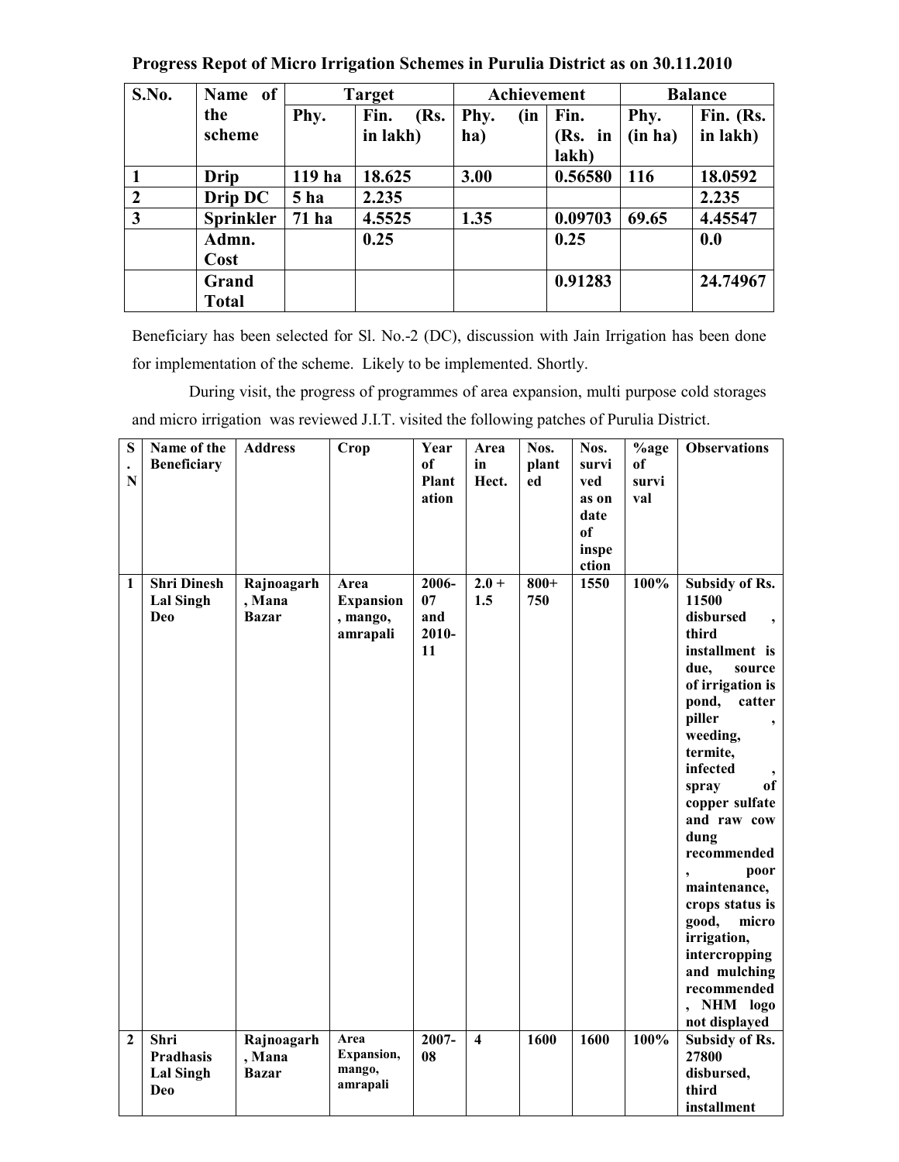| S.No.                   | Name of          |                 | <b>Target</b> | Achievement |           | <b>Balance</b> |           |
|-------------------------|------------------|-----------------|---------------|-------------|-----------|----------------|-----------|
|                         | the              | Phy.            | Fin.<br>(Rs.  | Phy.<br>(in | Fin.      | Phy.           | Fin. (Rs. |
|                         | scheme           |                 | in lakh)      | ha)         | $(Rs.$ in | (in ha)        | in lakh)  |
|                         |                  |                 |               |             | lakh)     |                |           |
|                         | Drip             | 119 ha          | 18.625        | 3.00        | 0.56580   | 116            | 18.0592   |
| $\overline{2}$          | Drip DC          | 5 <sub>ha</sub> | 2.235         |             |           |                | 2.235     |
| $\overline{\mathbf{3}}$ | <b>Sprinkler</b> | 71 ha           | 4.5525        | 1.35        | 0.09703   | 69.65          | 4.45547   |
|                         | Admn.            |                 | 0.25          |             | 0.25      |                | 0.0       |
|                         | Cost             |                 |               |             |           |                |           |
|                         | Grand            |                 |               |             | 0.91283   |                | 24.74967  |
|                         | <b>Total</b>     |                 |               |             |           |                |           |

Progress Repot of Micro Irrigation Schemes in Purulia District as on 30.11.2010

Beneficiary has been selected for Sl. No.-2 (DC), discussion with Jain Irrigation has been done for implementation of the scheme. Likely to be implemented. Shortly.

 During visit, the progress of programmes of area expansion, multi purpose cold storages and micro irrigation was reviewed J.I.T. visited the following patches of Purulia District.

| S<br>$\ddot{\phantom{0}}$<br>$\mathbf N$ | Name of the<br><b>Beneficiary</b>                    | <b>Address</b>                       | Crop                                             | Year<br>of<br>Plant<br>ation      | Area<br>in<br>Hect.     | Nos.<br>plant<br>ed | Nos.<br>survi<br>ved<br>as on<br>date<br>of<br>inspe<br>ction | %age<br>of<br>survi<br>val | <b>Observations</b>                                                                                                                                                                                                                                                                                                                                                                                                        |
|------------------------------------------|------------------------------------------------------|--------------------------------------|--------------------------------------------------|-----------------------------------|-------------------------|---------------------|---------------------------------------------------------------|----------------------------|----------------------------------------------------------------------------------------------------------------------------------------------------------------------------------------------------------------------------------------------------------------------------------------------------------------------------------------------------------------------------------------------------------------------------|
| $\mathbf{1}$                             | <b>Shri Dinesh</b><br><b>Lal Singh</b><br><b>Deo</b> | Rajnoagarh<br>, Mana<br><b>Bazar</b> | Area<br><b>Expansion</b><br>, mango,<br>amrapali | 2006-<br>07<br>and<br>2010-<br>11 | $2.0 +$<br>1.5          | $800+$<br>750       | 1550                                                          | 100%                       | Subsidy of Rs.<br>11500<br>disbursed<br>third<br>installment is<br>due,<br>source<br>of irrigation is<br>pond,<br>catter<br>piller<br>$\bullet$<br>weeding,<br>termite,<br>infected<br>of<br>spray<br>copper sulfate<br>and raw cow<br>dung<br>recommended<br>poor<br>,<br>maintenance,<br>crops status is<br>micro<br>good,<br>irrigation,<br>intercropping<br>and mulching<br>recommended<br>, NHM logo<br>not displayed |
| $\overline{2}$                           | Shri<br>Pradhasis<br><b>Lal Singh</b><br>Deo         | Rajnoagarh<br>, Mana<br><b>Bazar</b> | Area<br><b>Expansion,</b><br>mango,<br>amrapali  | 2007-<br>08                       | $\overline{\mathbf{4}}$ | 1600                | 1600                                                          | 100%                       | Subsidy of Rs.<br>27800<br>disbursed,<br>third<br>installment                                                                                                                                                                                                                                                                                                                                                              |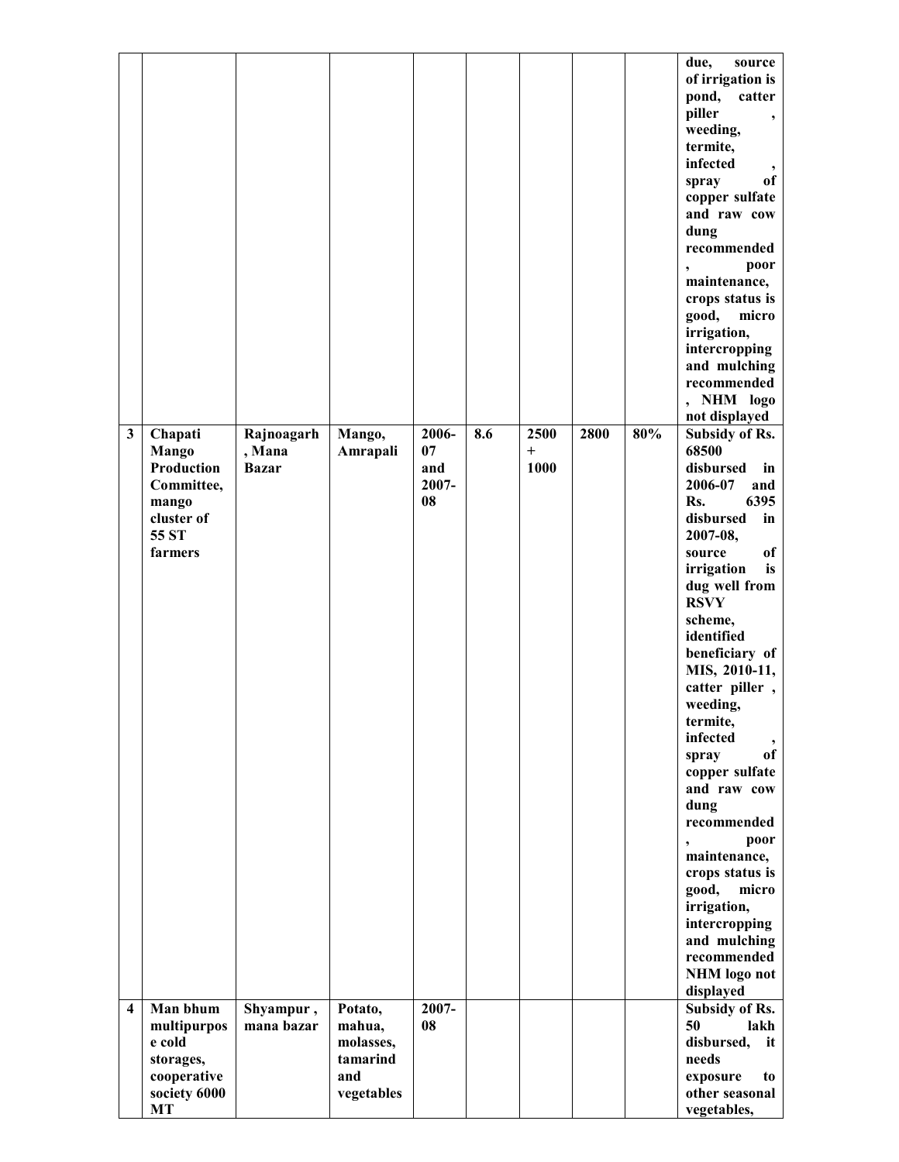|                         |                                                                                            |                                      |                                                                 |                                   |     |                        |      |     | due,<br>source<br>of irrigation is<br>pond,<br>catter<br>piller<br>,<br>weeding,<br>termite,<br>infected<br>of<br>spray<br>copper sulfate<br>and raw cow<br>dung<br>recommended<br>poor<br>$\overline{\phantom{a}}$<br>maintenance,<br>crops status is<br>good,<br>micro<br>irrigation,<br>intercropping<br>and mulching<br>recommended<br>, NHM logo                                                                                                                                                                                                                                |
|-------------------------|--------------------------------------------------------------------------------------------|--------------------------------------|-----------------------------------------------------------------|-----------------------------------|-----|------------------------|------|-----|--------------------------------------------------------------------------------------------------------------------------------------------------------------------------------------------------------------------------------------------------------------------------------------------------------------------------------------------------------------------------------------------------------------------------------------------------------------------------------------------------------------------------------------------------------------------------------------|
| $\mathbf{3}$            | Chapati<br>Mango<br>Production<br>Committee,<br>mango<br>cluster of<br>55 ST<br>farmers    | Rajnoagarh<br>, Mana<br><b>Bazar</b> | Mango,<br>Amrapali                                              | 2006-<br>07<br>and<br>2007-<br>08 | 8.6 | 2500<br>$^{+}$<br>1000 | 2800 | 80% | not displayed<br>Subsidy of Rs.<br>68500<br>disbursed<br>in<br>2006-07<br>and<br>6395<br>Rs.<br>disbursed<br>in<br>2007-08,<br>of<br>source<br>is<br>irrigation<br>dug well from<br><b>RSVY</b><br>scheme,<br>identified<br>beneficiary of<br>MIS, 2010-11,<br>catter piller,<br>weeding,<br>termite,<br>infected<br>$\overline{\phantom{a}}$<br>of<br>spray<br>copper sulfate<br>and raw cow<br>dung<br>recommended<br>poor<br>maintenance,<br>crops status is<br>good,<br>micro<br>irrigation,<br>intercropping<br>and mulching<br>recommended<br><b>NHM</b> logo not<br>displayed |
| $\overline{\mathbf{4}}$ | Man bhum<br>multipurpos<br>e cold<br>storages,<br>cooperative<br>society 6000<br><b>MT</b> | Shyampur,<br>mana bazar              | Potato,<br>mahua,<br>molasses,<br>tamarind<br>and<br>vegetables | 2007-<br>08                       |     |                        |      |     | Subsidy of Rs.<br>50<br>lakh<br>disbursed,<br>it<br>needs<br>exposure<br>to<br>other seasonal<br>vegetables,                                                                                                                                                                                                                                                                                                                                                                                                                                                                         |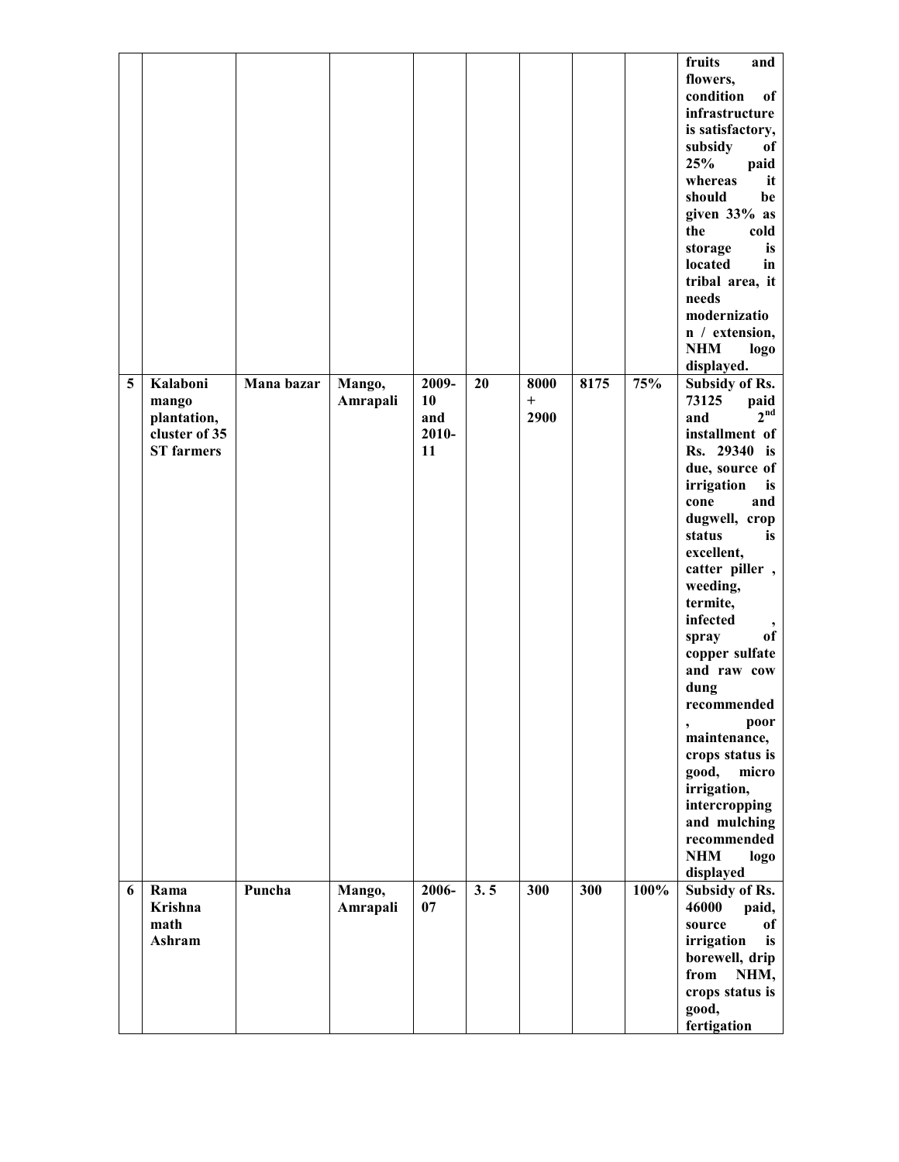|   |                                                                        |            |                    |                                   |                  |                        |      |      | fruits<br>and<br>flowers,<br>condition<br>of<br>infrastructure<br>is satisfactory,<br>subsidy<br>of<br>25%<br>paid<br>whereas<br>it<br>should<br>be<br>given 33% as<br>the<br>cold<br>storage<br>is<br>located<br>in<br>tribal area, it<br>needs<br>modernizatio<br>n / extension,<br><b>NHM</b><br>logo<br>displayed.                                                                                                                                                                                                     |
|---|------------------------------------------------------------------------|------------|--------------------|-----------------------------------|------------------|------------------------|------|------|----------------------------------------------------------------------------------------------------------------------------------------------------------------------------------------------------------------------------------------------------------------------------------------------------------------------------------------------------------------------------------------------------------------------------------------------------------------------------------------------------------------------------|
| 5 | Kalaboni<br>mango<br>plantation,<br>cluster of 35<br><b>ST</b> farmers | Mana bazar | Mango,<br>Amrapali | 2009-<br>10<br>and<br>2010-<br>11 | 20               | 8000<br>$^{+}$<br>2900 | 8175 | 75%  | Subsidy of Rs.<br>73125<br>paid<br>2 <sup>nd</sup><br>and<br>installment of<br>Rs. 29340<br>is<br>due, source of<br>irrigation<br>is<br>cone<br>and<br>dugwell, crop<br>status<br>is<br>excellent,<br>catter piller,<br>weeding,<br>termite,<br>infected<br>of<br>spray<br>copper sulfate<br>and raw cow<br>dung<br>recommended<br>poor<br>$\overline{\phantom{a}}$<br>maintenance,<br>crops status is<br>good,<br>micro<br>irrigation,<br>intercropping<br>and mulching<br>recommended<br><b>NHM</b><br>logo<br>displayed |
| 6 | Rama<br>Krishna<br>math<br>Ashram                                      | Puncha     | Mango,<br>Amrapali | 2006-<br>07                       | $\overline{3.5}$ | 300                    | 300  | 100% | <b>Subsidy of Rs.</b><br>46000<br>paid,<br>source<br>of<br>irrigation<br>is<br>borewell, drip<br>NHM,<br>from<br>crops status is<br>good,<br>fertigation                                                                                                                                                                                                                                                                                                                                                                   |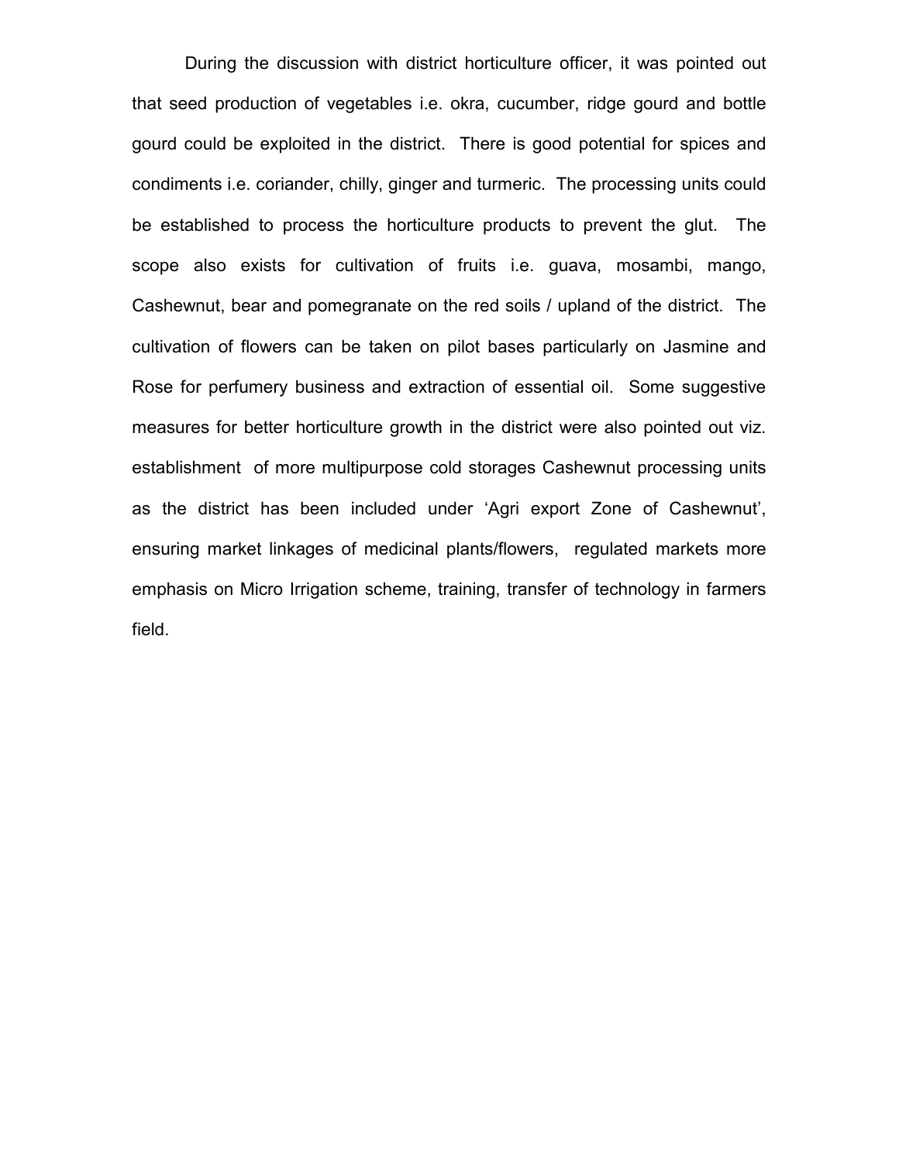During the discussion with district horticulture officer, it was pointed out that seed production of vegetables i.e. okra, cucumber, ridge gourd and bottle gourd could be exploited in the district. There is good potential for spices and condiments i.e. coriander, chilly, ginger and turmeric. The processing units could be established to process the horticulture products to prevent the glut. The scope also exists for cultivation of fruits i.e. guava, mosambi, mango, Cashewnut, bear and pomegranate on the red soils / upland of the district. The cultivation of flowers can be taken on pilot bases particularly on Jasmine and Rose for perfumery business and extraction of essential oil. Some suggestive measures for better horticulture growth in the district were also pointed out viz. establishment of more multipurpose cold storages Cashewnut processing units as the district has been included under 'Agri export Zone of Cashewnut', ensuring market linkages of medicinal plants/flowers, regulated markets more emphasis on Micro Irrigation scheme, training, transfer of technology in farmers field.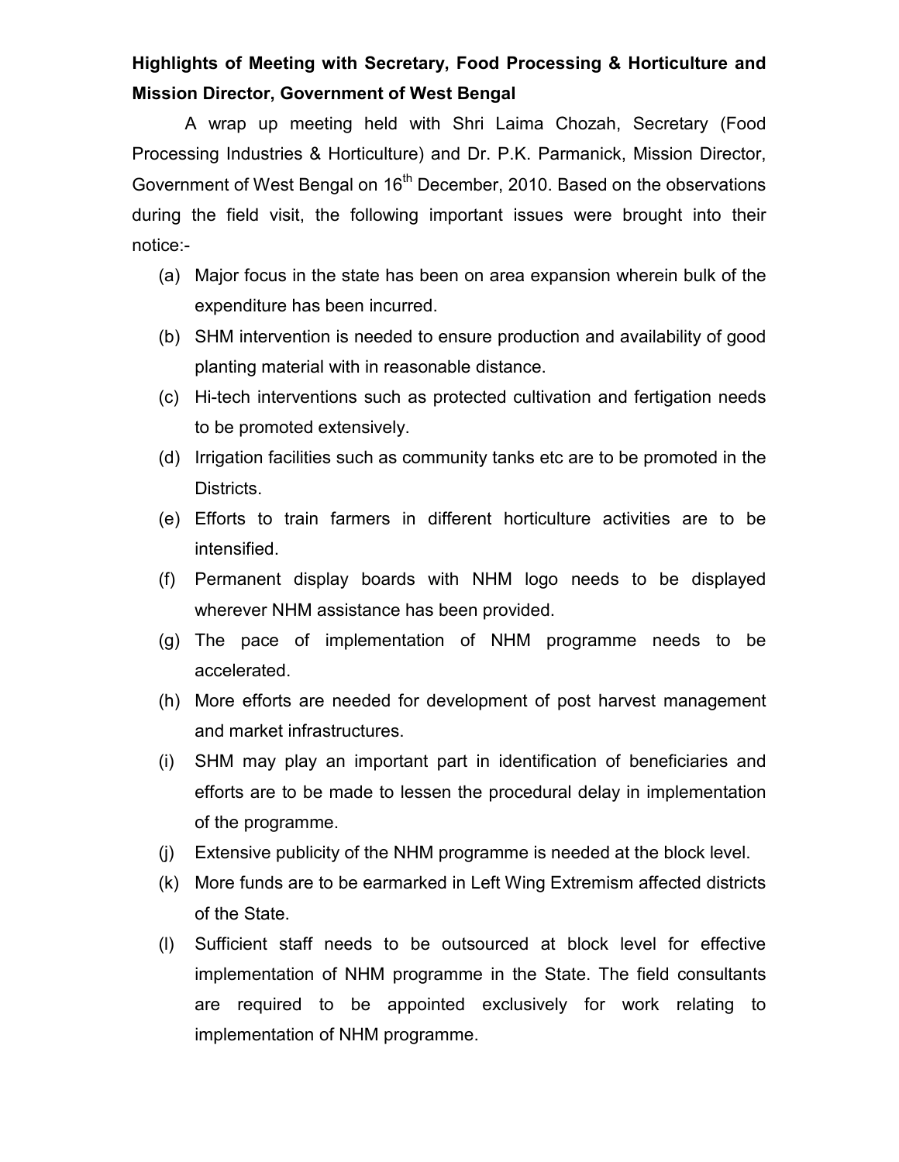## Highlights of Meeting with Secretary, Food Processing & Horticulture and Mission Director, Government of West Bengal

A wrap up meeting held with Shri Laima Chozah, Secretary (Food Processing Industries & Horticulture) and Dr. P.K. Parmanick, Mission Director, Government of West Bengal on 16<sup>th</sup> December, 2010. Based on the observations during the field visit, the following important issues were brought into their notice:-

- (a) Major focus in the state has been on area expansion wherein bulk of the expenditure has been incurred.
- (b) SHM intervention is needed to ensure production and availability of good planting material with in reasonable distance.
- (c) Hi-tech interventions such as protected cultivation and fertigation needs to be promoted extensively.
- (d) Irrigation facilities such as community tanks etc are to be promoted in the Districts.
- (e) Efforts to train farmers in different horticulture activities are to be intensified.
- (f) Permanent display boards with NHM logo needs to be displayed wherever NHM assistance has been provided.
- (g) The pace of implementation of NHM programme needs to be accelerated.
- (h) More efforts are needed for development of post harvest management and market infrastructures.
- (i) SHM may play an important part in identification of beneficiaries and efforts are to be made to lessen the procedural delay in implementation of the programme.
- (j) Extensive publicity of the NHM programme is needed at the block level.
- (k) More funds are to be earmarked in Left Wing Extremism affected districts of the State.
- (l) Sufficient staff needs to be outsourced at block level for effective implementation of NHM programme in the State. The field consultants are required to be appointed exclusively for work relating to implementation of NHM programme.